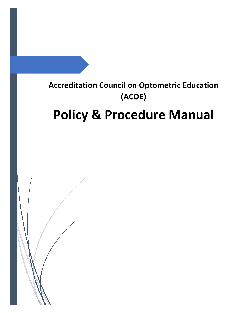## <span id="page-0-0"></span>**Accreditation Council on Optometric Education (ACOE)**

# **Policy & Procedure Manual**

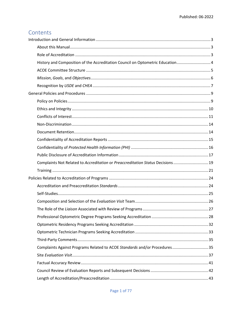## Contents

| History and Composition of the Accreditation Council on Optometric Education 4   |  |
|----------------------------------------------------------------------------------|--|
|                                                                                  |  |
|                                                                                  |  |
|                                                                                  |  |
|                                                                                  |  |
|                                                                                  |  |
|                                                                                  |  |
|                                                                                  |  |
|                                                                                  |  |
|                                                                                  |  |
|                                                                                  |  |
|                                                                                  |  |
|                                                                                  |  |
| Complaints Not Related to Accreditation or Preaccreditation Status Decisions  19 |  |
|                                                                                  |  |
|                                                                                  |  |
|                                                                                  |  |
|                                                                                  |  |
|                                                                                  |  |
|                                                                                  |  |
|                                                                                  |  |
|                                                                                  |  |
|                                                                                  |  |
|                                                                                  |  |
| Complaints Against Programs Related to ACOE Standards and/or Procedures35        |  |
|                                                                                  |  |
|                                                                                  |  |
|                                                                                  |  |
|                                                                                  |  |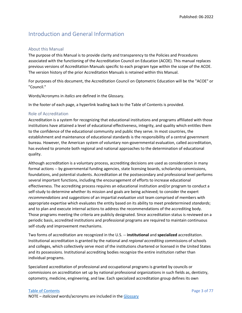## <span id="page-3-0"></span>Introduction and General Information

#### <span id="page-3-1"></span>About this Manual

The purpose of this Manual is to provide clarity and transparency to the Policies and Procedures associated with the functioning of the Accreditation Council on Education (ACOE). This manual replaces previous versions of Accreditation Manuals specific to each program type within the scope of the ACOE. The version history of the prior Accreditation Manuals is retained within this Manual.

For purposes of this document, the Accreditation Council on Optometric Education will be the "ACOE" or "Council."

Words/Acronyms in *italics* are defined in the Glossary.

In the footer of each page, a hyperlink leading back to the Table of Contents is provided.

#### <span id="page-3-2"></span>Role of Accreditation

Accreditation is a system for recognizing that educational institutions and programs affiliated with those institutions have attained a level of educational effectiveness, integrity, and quality which entitles them to the confidence of the educational community and public they serve. In most countries, the establishment and maintenance of educational standards is the responsibility of a central government bureau. However, the American system of voluntary non-governmental evaluation, called accreditation, has evolved to promote both regional and national approaches to the determination of educational quality.

Although accreditation is a voluntary process, accrediting decisions are used as consideration in many formal actions -- by governmental funding agencies, state licensing boards, scholarship commissions, foundations, and potential students. Accreditation at the postsecondary and professional level performs several important functions, including the encouragement of efforts to increase educational effectiveness. The accrediting process requires an educational institution and/or program to conduct a self-study to determine whether its mission and goals are being achieved; to consider the expert *recommendations* and *suggestions* of an impartial *evaluation visit* team comprised of members with appropriate expertise which evaluates the entity based on its ability to meet predetermined *standards*; and to plan and execute internal actions to address the recommendations of the accrediting body. Those programs meeting the criteria are publicly designated. Since accreditation status is reviewed on a periodic basis, accredited institutions and professional programs are required to maintain continuous self-study and improvement mechanisms.

Two forms of accreditation are recognized in the U.S. -- **institutional** and **specialized** accreditation. Institutional accreditation is granted by the national and *regional accrediting* commissions of schools and colleges, which collectively serve most of the institutions chartered or licensed in the United States and its possessions. Institutional accrediting bodies recognize the entire institution rather than individual programs.

Specialized accreditation of professional and occupational programs is granted by councils or commissions on accreditation set up by national professional organizations in such fields as, dentistry, optometry, medicine, engineering, and law. Each specialized accreditation group defines its own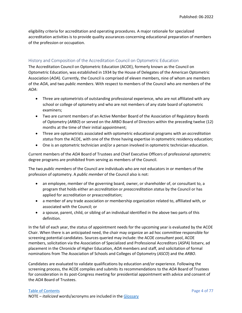eligibility criteria for accreditation and operating procedures. A major rationale for specialized accreditation activities is to provide quality assurances concerning educational preparation of members of the profession or occupation.

#### <span id="page-4-0"></span>History and Composition of the Accreditation Council on Optometric Education

The Accreditation Council on Optometric Education (ACOE), formerly known as the Council on Optometric Education, was established in 1934 by the House of Delegates of the American Optometric Association (*AOA*). Currently, the Council is comprised of eleven members, nine of whom are members of the *AOA*, and two *public members*. With respect to members of the Council who are members of the *AOA*:

- Three are optometrists of outstanding professional experience, who are not affiliated with any school or college of optometry and who are not members of any state board of optometric examiners;
- Two are current members of an Active Member Board of the Association of Regulatory Boards of Optometry (*ARBO*) or served on the ARBO Board of Directors within the preceding twelve (12) months at the time of their initial appointment;
- Three are optometrists associated with optometric educational programs with an *accreditation status* from the ACOE, with one of the three having expertise in optometric residency education;
- One is an optometric technician and/or a person involved in optometric technician education.

Current members of the *AOA* Board of Trustees and Chief Executive Officers of professional optometric degree programs are prohibited from serving as members of the Council.

The two *public members* of the Council are individuals who are not educators in or members of the profession of optometry. A *public member* of the Council also is not:

- an employee, member of the governing board, owner, or shareholder of, or consultant to, a program that holds either an *accreditation* or *preaccreditation status* by the Council or has applied for accreditation or preaccreditation;
- a member of any trade association or membership organization related to, affiliated with, or associated with the Council; or
- a spouse, parent, child, or sibling of an individual identified in the above two parts of this definition.

In the fall of each year, the status of appointment needs for the upcoming year is evaluated by the ACOE Chair. When there is an anticipated need, the chair may organize an ad hoc committee responsible for screening potential candidates. Sources queried may include: the ACOE *consultant* pool, ACOE members, solicitation via the Association of Specialized and Professional Accreditors (*ASPA*) listserv, ad placement in the Chronicle of Higher Education, *AOA* members and staff, and solicitation of formal nominations from The Association of Schools and Colleges of Optometry (*ASCO*) and the *ARBO*.

Candidates are evaluated to validate qualifications by education and/or experience. Following the screening process, the ACOE compiles and submits its recommendations to the *AOA* Board of Trustees for consideration in its post-Congress meeting for presidential appointment with advice and consent of the *AOA* Board of Trustees.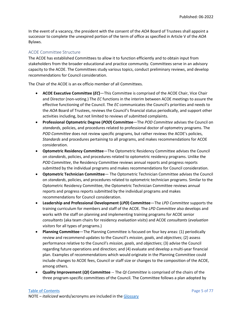In the event of a vacancy, the president with the consent of the *AOA* Board of Trustees shall appoint a successor to complete the unexpired portion of the term of office as specified in Article V of the *AOA* Bylaws.

#### <span id="page-5-0"></span>ACOE Committee Structure

The ACOE has established Committees to allow it to function efficiently and to obtain input from stakeholders from the broader educational and practice community. Committees serve in an advisory capacity to the ACOE. The Committees study various topics, conduct preliminary reviews, and develop recommendations for Council consideration.

The Chair of the ACOE is an ex officio member of all Committees.

- **ACOE Executive Committee (***EC***)**—This Committee is comprised of the ACOE Chair, Vice Chair and Director (non-voting.) The *EC* functions in the interim between ACOE meetings to assure the effective functioning of the Council. The *EC* communicates the Council's priorities and needs to the *AOA* Board of Trustees, reviews the Council's financial status periodically, and support other activities including, but not limited to reviews of submitted complaints.
- **Professional Optometric Degree (***POD***) Committee**—The *POD Committee* advises the Council on *standards*, policies, and procedures related to professional doctor of optometry programs. The *POD Committee* does not review specific programs, but rather reviews the ACOE's policies, *Standards* and procedures pertaining to all programs, and makes recommendations for ACOE consideration.
- **Optometric Residency Committee**—The Optometric Residency Committee advises the Council on *standards*, policies, and procedures related to optometric residency programs. Unlike the *POD Committee*, the Residency Committee reviews annual reports and progress reports submitted by the individual programs and makes recommendations for Council consideration.
- **Optometric Technician Committee** The Optometric Technician Committee advises the Council on *standards*, policies, and procedures related to optometric technician programs. Similar to the Optometric Residency Committee, the Optometric Technician Committee reviews annual reports and progress reports submitted by the individual programs and makes recommendations for Council consideration.
- **Leadership and Professional Development (***LPD***) Committee**—The *LPD Committee* supports the training curriculum for members and staff of the ACOE. The *LPD Committee* also develops and works with the staff on planning and implementing training programs for ACOE senior *consultants* (aka team chairs for residency *evaluation visits*) and ACOE *consultants* (*evaluation visitors* for all types of programs.)
- **Planning Committee**—The Planning Committee is focused on four key areas: (1) periodically review and recommend updates to the Council's *mission*, *goals*, and *objectives*; (2) assess performance relative to the Council's *mission*, *goals*, and *objectives*; (3) advise the Council regarding future operations and direction; and (4) evaluate and develop a multi-year financial plan. Examples of recommendations which would originate in the Planning Committee could include changes to ACOE fees, Council or staff size or changes to the composition of the ACOE, among others.
- **Quality Improvement (***QI***) Committee** -- The *QI Committee* is comprised of the chairs of the three program-specific committees of the Council. The Committee follows a plan adopted by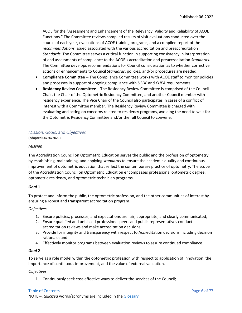ACOE for the "Assessment and Enhancement of the Relevancy, Validity and Reliability of ACOE Functions." The Committee reviews compiled results of visit evaluations conducted over the course of each year, evaluations of ACOE training programs, and a compiled report of the *recommendations* issued associated with the various accreditation and preaccreditation *Standards*. The Committee serves a critical function in supporting consistency in interpretation of and assessments of compliance to the ACOE's accreditation and preaccreditation *Standards*. The Committee develops recommendations for Council consideration as to whether corrective actions or enhancements to Council *Standards*, policies, and/or procedures are needed.

- **Compliance Committee** -- The Compliance Committee works with ACOE staff to monitor policies and processes in support of ongoing compliance with *USDE* and *CHEA* requirements.
- **Residency Review Committee**  The Residency Review Committee is comprised of the Council Chair, the Chair of the Optometric Residency Committee, and another Council member with residency experience. The Vice Chair of the Council also participates in cases of a conflict of interest with a Committee member. The Residency Review Committee is charged with evaluating and acting on concerns related to residency programs, avoiding the need to wait for the Optometric Residency Committee and/or the full Council to convene.

#### <span id="page-6-0"></span>*Mission*, *Goals*, and *Objectives* (adopted 06/26/2021)

#### *Mission*

The Accreditation Council on Optometric Education serves the public and the profession of optometry by establishing, maintaining, and applying *standards* to ensure the academic quality and continuous improvement of optometric education that reflect the contemporary practice of optometry. The scope of the Accreditation Council on Optometric Education encompasses professional optometric degree, optometric residency, and optometric technician programs.

#### *Goal* **1**

To protect and inform the public, the optometric profession, and the other communities of interest by ensuring a robust and transparent accreditation program.

#### *Objectives*

- 1. Ensure policies, processes, and expectations are fair, appropriate, and clearly communicated;
- 2. Ensure qualified and unbiased professional peers and public representatives conduct accreditation reviews and make accreditation decisions;
- 3. Provide for integrity and transparency with respect to Accreditation decisions including decision rationale; and
- 4. Effectively monitor programs between evaluation reviews to assure continued compliance.

#### *Goal* **2**

To serve as a role model within the optometric profession with respect to application of innovation, the importance of continuous improvement, and the value of external validation.

#### *Objectives*

1. Continuously seek cost-effective ways to deliver the services of the Council;

#### [Table of Contents](#page-0-0) **Page 6 of 77**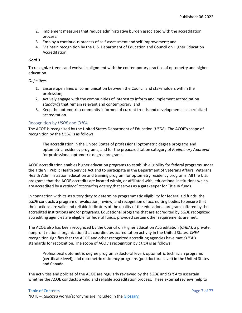- 2. Implement measures that reduce administrative burden associated with the accreditation process;
- 3. Employ a continuous process of self-assessment and self-improvement; and
- 4. Maintain recognition by the U.S. Department of Education and Council on Higher Education Accreditation.

#### *Goal* **3**

To recognize trends and evolve in alignment with the contemporary practice of optometry and higher education.

#### *Objectives*

- 1. Ensure open lines of communication between the Council and stakeholders within the profession;
- 2. Actively engage with the communities of interest to inform and implement accreditation *standards* that remain relevant and contemporary; and
- 3. Keep the optometric community informed of current trends and developments in specialized accreditation.

#### <span id="page-7-0"></span>Recognition by *USDE* and *CHEA*

The ACOE is recognized by the United States Department of Education (*USDE*). The ACOE's scope of recognition by the *USDE* is as follows:

The accreditation in the United States of professional optometric degree programs and optometric residency programs, and for the preaccreditation category of *Preliminary Approval* for professional optometric degree programs.

ACOE accreditation enables higher education programs to establish eligibility for federal programs under the Title VII Public Health Service Act and to participate in the Department of Veterans Affairs, Veterans Health Administration education and training program for optometry residency programs. All the U.S. programs that the ACOE accredits are located within, or affiliated with, educational institutions which are accredited by a *regional accrediting agency* that serves as a gatekeeper for Title IV funds.

In connection with its statutory duty to determine programmatic eligibility for federal aid funds, the *USDE* conducts a program of evaluation, review, and recognition of accrediting bodies to ensure that their actions are valid and reliable indicators of the quality of the educational programs offered by the accredited institutions and/or programs. Educational programs that are accredited by *USDE* recognized accrediting agencies are eligible for federal funds, provided certain other requirements are met.

The ACOE also has been recognized by the Council on Higher Education Accreditation (*CHEA*), a private, nonprofit national organization that coordinates accreditation activity in the United States. *CHEA* recognition signifies that the ACOE and other recognized accrediting agencies have met *CHEA's* standards for recognition. The scope of ACOE's recognition by *CHEA* is as follows:

Professional optometric degree programs (doctoral level), optometric technician programs (certificate level), and optometric residency programs (postdoctoral level) in the United States and Canada.

The activities and policies of the ACOE are regularly reviewed by the *USDE* and *CHEA* to ascertain whether the ACOE conducts a valid and reliable accreditation process. These external reviews help to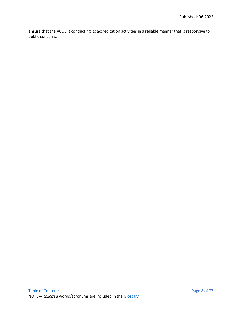ensure that the ACOE is conducting its accreditation activities in a reliable manner that is responsive to public concerns.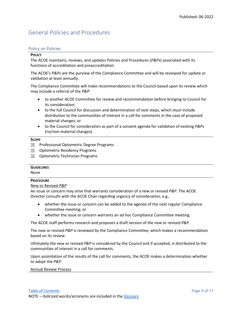## <span id="page-9-0"></span>General Policies and Procedures

#### <span id="page-9-1"></span>Policy on Policies

#### **POLICY**

The ACOE maintains, reviews, and updates Policies and Procedures (*P&Ps*) associated with its functions of accreditation and preaccreditation.

The ACOE's *P&Ps* are the purview of the Compliance Committee and will be reviewed for update or validation at least annually.

The Compliance Committee will make recommendations to the Council based upon its review which may include a referral of the *P&P*:

- to another ACOE Committee for review and recommendation before bringing to Council for its consideration;
- to the full Council for discussion and determination of next steps, which *must* include distribution to the communities of interest in a call for comments in the case of proposed material changes; or
- to the Council for consideration as part of a consent agenda for validation of existing *P&Ps* (no/non-material changes).

#### **SCOPE**

- $\boxtimes$  Professional Optometric Degree Programs
- ☒ Optometric Residency Programs
- ☒ Optometric Technician Programs

#### **GUIDELINES**

None

#### **PROCEDURE**

#### New or Revised *P&P*

An issue or concern may arise that warrants consideration of a new or revised *P&P*. The ACOE Director consults with the ACOE Chair regarding urgency of consideration, e.g.,

- whether the issue or concern can be added to the agenda of the next regular Compliance Committee meeting; or
- whether the issue or concern warrants an ad hoc Compliance Committee meeting.

The ACOE staff performs research and proposes a draft version of the new or revised *P&P*.

The new or revised *P&P* is reviewed by the Compliance Committee, which makes a recommendation based on its review.

Ultimately the new or revised *P&P* is considered by the Council and if accepted, is distributed to the communities of interest in a call for comments.

Upon assimilation of the results of the call for comments, the ACOE makes a determination whether to adopt the *P&P*.

#### Annual Review Process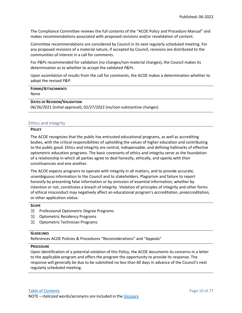The Compliance Committee reviews the full contents of the "ACOE Policy and Procedure Manual" and makes recommendations associated with proposed revisions and/or revalidation of content.

Committee recommendations are considered by Council in its next regularly scheduled meeting. For any proposed revisions of a material nature, if accepted by Council, revisions are distributed to the communities of interest in a call for comments.

For *P&Ps* recommended for validation (no changes/non-material changes), the Council makes its determination as to whether to accept the validated *P&Ps*.

Upon assimilation of results from the call for comments, the ACOE makes a determination whether to adopt the revised *P&P*.

| <b>FORMS/ATTACHMENTS</b>            |  |
|-------------------------------------|--|
| None                                |  |
| <b>DATES OF REVISION/VALIDATION</b> |  |

06/26/2021 (initial approval); 02/27/2022 (no/non-substantive changes)

#### <span id="page-10-0"></span>Ethics and Integrity

#### **POLICY**

The ACOE recognizes that the public has entrusted educational programs, as well as accrediting bodies, with the critical responsibilities of upholding the values of higher education and contributing to the public good. Ethics and integrity are central, indispensable, and defining hallmarks of effective optometric education programs. The basic covenants of ethics and integrity serve as the foundation of a relationship in which all parties agree to deal honestly, ethically, and openly with their constituencies and one another.

The ACOE expects programs to operate with integrity in all matters, and to provide accurate, unambiguous information to the Council and to stakeholders. Plagiarism and failure to report honestly by presenting false information or by omission of essential information, whether by intention or not, constitutes a breach of integrity. Violation of principles of integrity and other forms of ethical misconduct may negatively affect an educational program's *accreditation*, *preaccreditation*, or other application *status*.

#### **SCOPE**

- ☒ Professional Optometric Degree Programs
- $\boxtimes$  Optometric Residency Programs
- $\boxtimes$  Optometric Technician Programs

#### **GUIDELINES**

References ACOE Policies & Procedures "Reconsiderations" and "Appeals"

#### **PROCEDURE**

Upon identification of a potential violation of this Policy, the ACOE documents its concerns in a letter to the applicable program and offers the program the opportunity to provide its response. The response will generally be due to be submitted no less than 60 days in advance of the Council's next regularly scheduled meeting.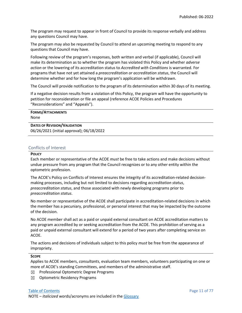The program may request to appear in front of Council to provide its response verbally and address any questions Council may have.

The program may also be requested by Council to attend an upcoming meeting to respond to any questions that Council may have.

Following review of the program's responses, both written and verbal (if applicable), Council will make its determination as to whether the program has violated this Policy and whether *adverse action* or the lowering of its accreditation status to *Accredited with Conditions* is warranted. For programs that have not yet attained a *preaccreditation or accreditation status*, the Council will determine whether and for how long the program's application will be withdrawn.

The Council will provide notification to the program of its determination within 30 days of its meeting.

If a negative decision results from a violation of this Policy, the program will have the opportunity to petition for reconsideration or file an appeal (reference ACOE Policies and Procedures "Reconsiderations" and "Appeals").

| <b>FORMS/ATTACHMENTS</b> |  |
|--------------------------|--|
| None                     |  |
|                          |  |

**DATES OF REVISION/VALIDATION** 06/26/2021 (initial approval); 06/18/2022

#### <span id="page-11-0"></span>Conflicts of Interest

#### **POLICY**

Each member or representative of the ACOE *must* be free to take actions and make decisions without undue pressure from any program that the Council recognizes or to any other entity within the optometric profession.

The ACOE's Policy on Conflicts of Interest ensures the integrity of its accreditation-related decisionmaking processes, including but not limited to decisions regarding *accreditation status*, *preaccreditation status*, and those associated with newly developing programs prior to *preaccreditation status*.

No member or representative of the ACOE shall participate in accreditation-related decisions in which the member has a pecuniary, professional, or personal interest that may be impacted by the outcome of the decision.

No ACOE member shall act as a paid or unpaid external consultant on ACOE accreditation matters to any program accredited by or seeking accreditation from the ACOE. This prohibition of serving as a paid or unpaid external consultant will extend for a period of two years after completing service on ACOE.

The actions and decisions of individuals subject to this policy *must* be free from the appearance of impropriety.

#### **SCOPE**

Applies to ACOE members, *consultants*, evaluation team members, volunteers participating on one or more of ACOE's standing Committees, and members of the administrative staff.

- ☒ Professional Optometric Degree Programs
- ☒ Optometric Residency Programs

#### [Table of Contents](#page-0-0) **Page 11** of 77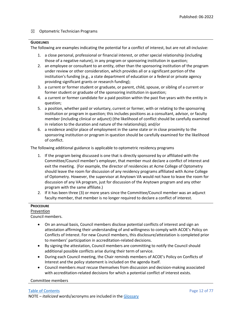#### $\boxtimes$  Optometric Technician Programs

#### **GUIDELINES**

The following are examples indicating the potential for a conflict of interest, but are not all-inclusive:

- 1. a close personal, professional or financial interest, or other special relationship (including those of a negative nature), in any program or sponsoring institution in question;
- 2. an employee or consultant to an entity, other than the sponsoring institution of the program under review or other consideration, which provides all or a significant portion of the institution's funding (e.g., a state department of education or a federal or private agency providing significant grants or research funding);
- 3. a current or former student or graduate, or parent, child, spouse, or sibling of a current or former student or graduate of the sponsoring institution in question;
- 4. a current or former candidate for a paid position within the past five years with the entity in question;
- 5. a position, whether paid or voluntary, current or former, with or relating to the sponsoring institution or program in question; this includes positions as a consultant, advisor, or faculty member (including clinical or adjunct) (the likelihood of conflict should be carefully examined in relation to the duration and nature of the relationship); and/or
- 6. a residence and/or place of employment in the same state or in close proximity to the sponsoring institution or program in question should be carefully examined for the likelihood of conflict.

The following additional guidance is applicable to optometric residency programs

- 1. If the program being discussed is one that is directly sponsored by or affiliated with the Committee/Council member's employer, that member must declare a conflict of interest and exit the meeting. (For example, the director of residencies at Acme College of Optometry should leave the room for discussion of any residency programs affiliated with Acme College of Optometry. However, the supervisor at Anytown VA would not have to leave the room for discussion of any VA program, just for discussion of the Anytown program and any other program with the same affiliate.)
- 2. If it has been three (3) or more years since the Committee/Council member was an adjunct faculty member, that member is no longer required to declare a conflict of interest.

#### **PROCEDURE**

#### Prevention

Council members.

- On an annual basis, Council members disclose potential conflicts of interest and sign an attestation affirming their understanding of and willingness to comply with ACOE's Policy on Conflicts of Interest. For new Council members, this disclosure/attestation is completed prior to members' participation in accreditation-related decisions.
- By signing the attestation, Council members are committing to notify the Council should additional possible conflicts arise during their term of service.
- During each Council meeting, the Chair reminds members of ACOE's Policy on Conflicts of Interest and the policy statement is included on the agenda itself.
- Council members *must* recuse themselves from discussion and decision-making associated with accreditation-related decisions for which a potential conflict of interest exists.

#### Committee members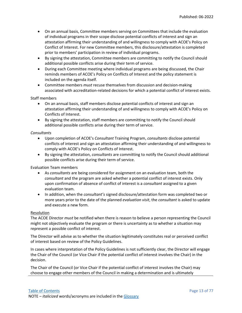- On an annual basis, Committee members serving on Committees that include the evaluation of individual programs in their scope disclose potential conflicts of interest and sign an attestation affirming their understanding of and willingness to comply with ACOE's Policy on Conflict of Interest. For new Committee members, this disclosure/attestation is completed prior to members' participation in review of individual programs.
- By signing the attestation, Committee members are committing to notify the Council should additional possible conflicts arise during their term of service.
- During each Committee meeting where individual programs are being discussed, the Chair reminds members of ACOE's Policy on Conflicts of Interest and the policy statement is included on the agenda itself.
- Committee members *must* recuse themselves from discussion and decision-making associated with accreditation-related decisions for which a potential conflict of interest exists.

#### Staff members

- On an annual basis, staff members disclose potential conflicts of interest and sign an attestation affirming their understanding of and willingness to comply with ACOE's Policy on Conflicts of Interest.
- By signing the attestation, staff members are committing to notify the Council should additional possible conflicts arise during their term of service.

#### *Consultants*

- Upon completion of ACOE's *Consultant* Training Program, *consultants* disclose potential conflicts of interest and sign an attestation affirming their understanding of and willingness to comply with ACOE's Policy on Conflicts of Interest.
- By signing the attestation, *consultants* are committing to notify the Council should additional possible conflicts arise during their term of service.

#### Evaluation Team members

- As *consultants* are being considered for assignment on an evaluation team, both the *consultant* and the program are asked whether a potential conflict of interest exists. Only upon confirmation of absence of conflict of interest is a *consultant* assigned to a given evaluation team.
- In addition, when the *consultant's* signed disclosure/attestation form was completed two or more years prior to the date of the planned *evaluation visit*, the *consultant* is asked to update and execute a new form.

#### Resolution

The ACOE Director *must* be notified when there is reason to believe a person representing the Council might not objectively evaluate the program or there is uncertainty as to whether a situation may represent a possible conflict of interest.

The Director will advise as to whether the situation legitimately constitutes real or perceived conflict of interest based on review of the Policy Guidelines.

In cases where interpretation of the Policy Guidelines is not sufficiently clear, the Director will engage the Chair of the Council (or Vice Chair if the potential conflict of interest involves the Chair) in the decision.

The Chair of the Council (or Vice Chair if the potential conflict of interest involves the Chair) may choose to engage other members of the Council in making a determination and is ultimately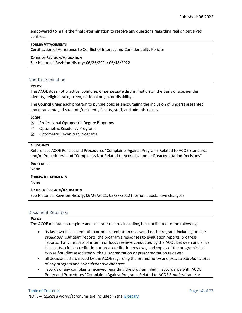empowered to make the final determination to resolve any questions regarding real or perceived conflicts.

#### **FORMS/ATTACHMENTS**

Certification of Adherence to Conflict of Interest and Confidentiality Policies

#### **DATES OF REVISION/VALIDATION**

See Historical Revision History; 06/26/2021; 06/18/2022

#### <span id="page-14-0"></span>Non-Discrimination

#### **POLICY**

The ACOE does not practice, condone, or perpetuate discrimination on the basis of age, gender identity, religion, race, creed, national origin, or disability.

The Council urges each program to pursue policies encouraging the inclusion of underrepresented and disadvantaged students/residents, faculty, staff, and administrators.

#### **SCOPE**

- $\boxtimes$  Professional Optometric Degree Programs
- ☒ Optometric Residency Programs
- ☒ Optometric Technician Programs

#### **GUIDELINES**

References ACOE Policies and Procedures "Complaints Against Programs Related to ACOE Standards and/or Procedures" and "Complaints Not Related to Accreditation or Preaccreditation Decisions"

#### **PROCEDURE**

None

#### **FORMS/ATTACHMENTS**

None

#### **DATES OF REVISION/VALIDATION**

See Historical Revision History; 06/26/2021; 02/27/2022 (no/non-substantive changes)

#### <span id="page-14-1"></span>Document Retention

#### **POLICY**

The ACOE maintains complete and accurate records including, but not limited to the following:

- its last two full accreditation or preaccreditation reviews of each program, including on-site *evaluation visit* team reports, the program's responses to evaluation reports, progress reports, if any, reports of interim or focus reviews conducted by the ACOE between and since the last two full accreditation or preaccreditation reviews, and copies of the program's last two self-studies associated with full accreditation or preaccreditation reviews;
- all decision letters issued by the ACOE regarding the *accreditation* and *preaccreditation status* of any program and any *substantive changes*;
- records of any complaints received regarding the program filed in accordance with ACOE Policy and Procedures "Complaints Against Programs Related to ACOE *Standards* and/or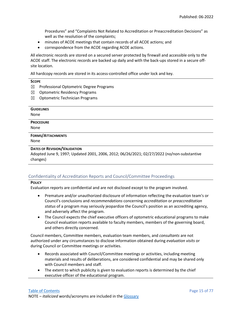Procedures" and "Complaints Not Related to Accreditation or Preaccreditation Decisions" as well as the resolution of the complaints;

- minutes of ACOE meetings that contain records of all ACOE actions; and
- correspondence from the ACOE regarding ACOE actions.

All electronic records are stored on a secured server protected by firewall and accessible only to the ACOE staff. The electronic records are backed up daily and with the back-ups stored in a secure offsite location.

All hardcopy records are stored in its access-controlled office under lock and key.

| <b>SCOPE</b>                                                                               |  |
|--------------------------------------------------------------------------------------------|--|
| ⊠<br>Professional Optometric Degree Programs                                               |  |
| <b>Optometric Residency Programs</b><br>⊠                                                  |  |
| <b>Optometric Technician Programs</b><br>⊠                                                 |  |
|                                                                                            |  |
| <b>GUIDELINES</b>                                                                          |  |
| None                                                                                       |  |
| <b>PROCEDURE</b>                                                                           |  |
| None                                                                                       |  |
| <b>FORMS/ATTACHMENTS</b>                                                                   |  |
| <b>None</b>                                                                                |  |
| <b>DATES OF REVISION/VALIDATION</b>                                                        |  |
| Adopted June 9, 1997; Updated 2001, 2006, 2012; 06/26/2021; 02/27/2022 (no/non-substantive |  |
| changes)                                                                                   |  |
|                                                                                            |  |

### <span id="page-15-0"></span>Confidentiality of Accreditation Reports and Council/Committee Proceedings

#### **POLICY**

Evaluation reports are confidential and are not disclosed except to the program involved.

- Premature and/or unauthorized disclosure of information reflecting the evaluation team's or Council's conclusions and *recommendations* concerning *accreditation* or *preaccreditation status* of a program may seriously jeopardize the Council's position as an accrediting agency, and adversely affect the program.
- The Council expects the chief executive officers of optometric educational programs to make Council evaluation reports available to faculty members, members of the governing board, and others directly concerned.

Council members, Committee members, evaluation team members, and *consultants* are not authorized under any circumstances to disclose information obtained during *evaluation visits* or during Council or Committee meetings or activities.

- Records associated with Council/Committee meetings or activities, including meeting materials and results of deliberations, are considered confidential and may be shared only with Council members and staff.
- The extent to which publicity is given to evaluation reports is determined by the chief executive officer of the educational program.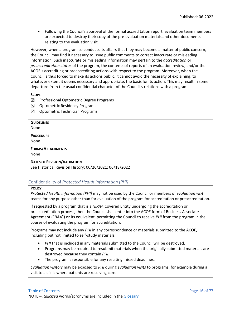• Following the Council's approval of the formal accreditation report, evaluation team members are expected to destroy their copy of the pre-evaluation materials and other documents relating to the evaluation visit.

However, when a program so conducts its affairs that they may become a matter of public concern, the Council may find it necessary to issue public comments to correct inaccurate or misleading information. Such inaccurate or misleading information may pertain to the *accreditation* or *preaccreditation status* of the program, the contents of reports of an evaluation review, and/or the ACOE's accrediting or preaccrediting actions with respect to the program. Moreover, when the Council is thus forced to make its actions public, it cannot avoid the necessity of explaining, to whatever extent it deems necessary and appropriate, the basis for its action. This may result in some departure from the usual confidential character of the Council's relations with a program.

#### **SCOPE**

- ☒ Professional Optometric Degree Programs
- $\boxtimes$  Optometric Residency Programs
- $\boxtimes$  Optometric Technician Programs

| <b>GUIDELINES</b>                   |  |
|-------------------------------------|--|
| None                                |  |
| <b>PROCEDURE</b>                    |  |
| None                                |  |
| <b>FORMS/ATTACHMENTS</b>            |  |
| None                                |  |
| <b>DATES OF REVISION/VALIDATION</b> |  |

See Historical Revision History; 06/26/2021; 06/18/2022

#### <span id="page-16-0"></span>Confidentiality of *Protected Health Information (PHI)*

#### **POLICY**

*Protected Health Information (PHI)* may not be used by the Council or members of *evaluation visit*  teams for any purpose other than for evaluation of the program for accreditation or preaccreditation.

If requested by a program that is a *HIPAA* Covered Entity undergoing the accreditation or preaccreditation process, then the Council shall enter into the ACOE form of Business Associate Agreement ("*BAA*") or its equivalent, permitting the Council to receive *PHI* from the program in the course of evaluating the program for accreditation.

Programs may not include any *PHI* in any correspondence or materials submitted to the ACOE, including but not limited to self-study materials.

- *PHI* that is included in any materials submitted to the Council will be destroyed.
- Programs may be required to resubmit materials when the originally submitted materials are destroyed because they contain *PHI*.
- The program is responsible for any resulting missed deadlines.

*Evaluation visitors* may be exposed to *PHI* during *evaluation visits* to programs, for example during a visit to a clinic where patients are receiving care.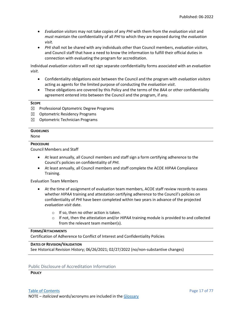- *Evaluation visitors* may not take copies of any *PHI* with them from the *evaluation visit* and *must* maintain the confidentiality of all *PHI* to which they are exposed during the *evaluation visit.*
- *PHI* shall not be shared with any individuals other than Council members, *evaluation visitors,* and Council staff that have a need to know the information to fulfill their official duties in connection with evaluating the program for accreditation.

Individual *evaluation visitors* will not sign separate confidentiality forms associated with an *evaluation visit*.

- Confidentiality obligations exist between the Council and the program with *evaluation visitors* acting as agents for the limited purpose of conducting the *evaluation visit*.
- These obligations are covered by this Policy and the terms of the *BAA* or other confidentiality agreement entered into between the Council and the program, if any.

#### **SCOPE**

- $\boxtimes$  Professional Optometric Degree Programs
- ☒ Optometric Residency Programs
- $\boxtimes$  Optometric Technician Programs

#### **GUIDELINES**

#### None

#### **PROCEDURE**

Council Members and Staff

- At least annually, all Council members and staff sign a form certifying adherence to the Council's policies on confidentiality of *PHI.*
- At least annually, all Council members and staff complete the ACOE *HIPAA* Compliance Training.

#### Evaluation Team Members

- At the time of assignment of evaluation team members, ACOE staff review records to assess whether *HIPAA* training and attestation certifying adherence to the Council's policies on confidentiality of *PHI* have been completed within two years in advance of the projected *evaluation visit* date.
	- o If so, then no other action is taken.
	- o If not, then the attestation and/or *HIPAA* training module is provided to and collected from the relevant team member(s).

#### **FORMS/ATTACHMENTS**

Certification of Adherence to Conflict of Interest and Confidentiality Policies

#### **DATES OF REVISION/VALIDATION**

See Historical Revision History; 06/26/2021; 02/27/2022 (no/non-substantive changes)

#### <span id="page-17-0"></span>Public Disclosure of Accreditation Information

#### **POLICY**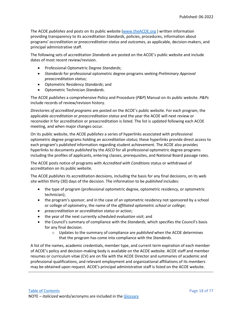The ACOE *publishes* and posts on its public website [\(www.theACOE.org](http://www.theacoe.org/) ) written information providing transparency to its accreditation *Standards*, policies, procedures, information about programs' *accreditation* or *preaccreditation status* and *outcomes*, as applicable, decision-makers, and principal administrative staff.

The following sets of accreditation *Standards* are posted on the ACOE's public website and include dates of most recent review/revision.

- Professional Optometric Degree *Standards*;
- *Standards* for professional optometric degree programs seeking *Preliminary Approval preaccreditation status*;
- Optometric Residency *Standards*; and
- Optometric Technician *Standards*.

The ACOE *publishes* a comprehensive Policy and Procedure (*P&P*) Manual on its public website. *P&Ps* include records of review/revision history.

*Directories of accredited programs* are posted on the ACOE's public website. For each program, the applicable *accreditation* or *preaccreditation status* and the year the ACOE will next review or reconsider it for accreditation or preaccreditation is listed. The list is updated following each ACOE meeting, and when major changes occur.

On its public website, the ACOE *publishes* a series of hyperlinks associated with professional optometric degree programs holding an *accreditation status*; these hyperlinks provide direct access to each program's *published* information regarding student achievement. The ACOE also provides hyperlinks to documents *published* by the *ASCO* for all professional optometric degree programs including the profiles of applicants, entering classes, prerequisites, and National Board passage rates.

The ACOE posts notice of programs with *Accredited with Conditions* status or withdrawal of accreditation on its public website.

The ACOE *publishes* its accreditation decisions, including the basis for any final decisions, on its web site within thirty (30) days of the decision. The information to be *published* includes:

- the type of program (professional optometric degree, optometric residency, or optometric technician);
- the program's *sponsor*, and in the case of an optometric residency not sponsored by a school or college of optometry, the name of the *affiliated optometric school or college*;
- *preaccreditation* or *accreditation status* or action;
- the year of the next currently scheduled *evaluation visit*; and
- the Council's summary of compliance with the *Standards*, which specifies the Council's basis for any final decision.
	- o Updates to the summary of compliance are *published* when the ACOE determines that the program has come into compliance with the *Standards*.

A list of the names, academic credentials, member type, and current term expiration of each member of ACOE's policy and decision-making body is available on the ACOE website. ACOE staff and member resumes or curriculum vitae (CV) are on file with the ACOE Director and summaries of academic and professional qualifications, and relevant employment and organizational affiliations of its members may be obtained upon request. ACOE's principal administrative staff is listed on the ACOE website.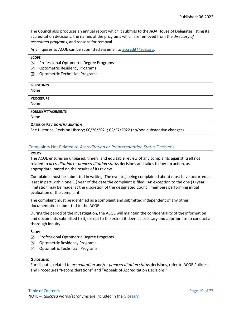The Council also produces an annual report which it submits to the *AOA* House of Delegates listing its accreditation decisions, the names of the programs which are removed from the *directory of accredited programs*, and reasons for removal.

Any inquires to ACOE can be submitted via email to [accredit@aoa.org.](mailto:accredit@aoa.org)

#### **SCOPE**

- ☒ Professional Optometric Degree Programs
- $\boxtimes$  Optometric Residency Programs
- $\boxtimes$  Optometric Technician Programs

#### <span id="page-19-0"></span>Complaints Not Related to *Accreditation* or *Preaccreditation Status* Decisions

#### **POLICY**

The ACOE ensures an unbiased, timely, and equitable review of any complaints against itself not related to *accreditation* or *preaccreditation status* decisions and takes follow-up action, as appropriate, based on the results of its review.

Complaints must be submitted in writing. The event(s) being complained about must have occurred at least in part within one (1) year of the date the complaint is filed. An exception to the one (1) year limitation may be made, at the discretion of the designated Council members performing initial evaluation of the complaint.

The complaint must be identified as a complaint and submitted independent of any other documentation submitted to the ACOE.

During the period of the investigation, the ACOE will maintain the confidentiality of the information and documents submitted to it, except to the extent it deems necessary and appropriate to conduct a thorough inquiry.

#### **SCOPE**

- ☒ Professional Optometric Degree Programs
- $\boxtimes$  Optometric Residency Programs
- ☒ Optometric Technician Programs

#### **GUIDELINES**

For disputes related to *accreditation* and/or *preaccreditation status* decisions, refer to ACOE Policies and Procedures "Reconsiderations" and "Appeals of Accreditation Decisions."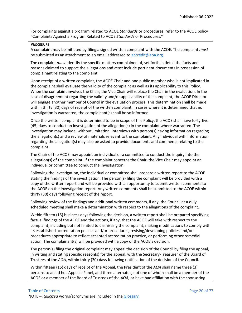For complaints against a program related to ACOE *Standards* or procedures, refer to the ACOE policy "Complaints Against a Program Related to ACOE *Standards* or Procedures."

#### **PROCEDURE**

A complaint may be initiated by filing a signed written complaint with the ACOE. The complaint *must* be submitted as an attachment to an email addressed t[o accredit@aoa.org.](mailto:accredit@aoa.org)

The complaint *must* identify the specific matters complained of, set forth in detail the facts and reasons claimed to support the allegations and *must* include pertinent documents in possession of complainant relating to the complaint.

Upon receipt of a written complaint, the ACOE Chair and one public member who is not implicated in the complaint shall evaluate the validity of the complaint as well as its applicability to this Policy. When the complaint involves the Chair, the Vice Chair will replace the Chair in the evaluation. In the case of disagreement regarding the validity and/or applicability of the complaint, the ACOE Director will engage another member of Council in the evaluation process. This determination shall be made within thirty (30) days of receipt of the written complaint. In cases where it is determined that no investigation is warranted, the complainant(s) shall be so informed.

Once the written complaint is determined to be in scope of this Policy, the ACOE shall have forty-five (45) days to conduct an investigation of the allegation(s) in the complaint where warranted. The investigation may include, without limitation, interviews with person(s) having information regarding the allegation(s) and a review of materials relevant to the complaint. Any individual with information regarding the allegation(s) may also be asked to provide documents and comments relating to the complaint.

The Chair of the ACOE may appoint an individual or a committee to conduct the inquiry into the allegation(s) of the complaint. If the complaint concerns the Chair, the Vice Chair may appoint an individual or committee to conduct the investigation.

Following the investigation, the individual or committee shall prepare a written report to the ACOE stating the findings of the investigation. The person(s) filing the complaint will be provided with a copy of the written report and will be provided with an opportunity to submit written comments to the ACOE on the investigation report. Any written comments shall be submitted to the ACOE within thirty (30) days following receipt of the report.

Following review of the findings and additional written comments, if any, the Council at a duly scheduled meeting shall make a determination with respect to the allegations of the complaint.

Within fifteen (15) business days following the decision, a written report shall be prepared specifying factual findings of the ACOE and the actions, if any, that the ACOE will take with respect to the complaint, including but not limited to dismissing the complaint, making modifications to comply with its established accreditation policies and/or procedures, revising/developing policies and/or procedures appropriate to reflect accepted accreditation practice, or performing other remedial action. The complainant(s) will be provided with a copy of the ACOE's decision.

The person(s) filing the original complaint may appeal the decision of the Council by filing the appeal, in writing and stating specific reason(s) for the appeal, with the Secretary-Treasurer of the Board of Trustees of the *AOA*, within thirty (30) days following notification of the decision of the Council.

Within fifteen (15) days of receipt of the Appeal, the President of the *AOA* shall name three (3) persons to an ad hoc Appeals Panel, and three alternates, not one of whom shall be a member of the ACOE or a member of the Board of Trustees of the *AOA*, or have had affiliation with the sponsoring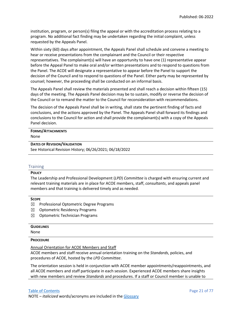institution, program, or person(s) filing the appeal or with the accreditation process relating to a program. No additional fact finding may be undertaken regarding the initial complaint, unless requested by the Appeals Panel.

Within sixty (60) days after appointment, the Appeals Panel shall schedule and convene a meeting to hear or receive presentations from the complainant and the Council or their respective representatives. The complainant(s) will have an opportunity to have one (1) representative appear before the Appeal Panel to make oral and/or written presentations and to respond to questions from the Panel. The ACOE will designate a representative to appear before the Panel to support the decision of the Council and to respond to questions of the Panel. Either party may be represented by counsel; however, the proceeding shall be conducted on an informal basis.

The Appeals Panel shall review the materials presented and shall reach a decision within fifteen (15) days of the meeting. The Appeals Panel decision may be to sustain, modify or reverse the decision of the Council or to remand the matter to the Council for reconsideration with recommendations.

The decision of the Appeals Panel shall be in writing, shall state the pertinent finding of facts and conclusions, and the actions approved by the Panel. The Appeals Panel shall forward its findings and conclusions to the Council for action and shall provide the complainant(s) with a copy of the Appeals Panel decision.

#### **FORMS/ATTACHMENTS** None

#### **DATES OF REVISION/VALIDATION**

See Historical Revision History; 06/26/2021; 06/18/2022

#### <span id="page-21-0"></span>**Training**

#### **POLICY**

The Leadership and Professional Development (*LPD*) *Committee* is charged with ensuring current and relevant training materials are in place for ACOE members, staff, *consultants*, and appeals panel members and that training is delivered timely and as needed.

#### **SCOPE**

- $\boxtimes$  Professional Optometric Degree Programs
- $\boxtimes$  Optometric Residency Programs
- $\boxtimes$  Optometric Technician Programs

#### **GUIDELINES**

None

#### **PROCEDURE**

Annual Orientation for ACOE Members and Staff

ACOE members and staff receive annual orientation training on the *Standards*, policies, and procedures of ACOE, hosted by the *LPD Committee*.

The orientation session is held in conjunction with ACOE member appointments/reappointments, and all ACOE members and staff participate in each session. Experienced ACOE members share insights with new members and review *Standards* and procedures. If a staff or Council member is unable to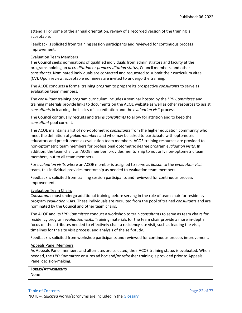attend all or some of the annual orientation, review of a recorded version of the training is acceptable.

Feedback is solicited from training session participants and reviewed for continuous process improvement.

#### Evaluation Team Members

The Council seeks nominations of qualified individuals from administrators and faculty at the programs holding an *accreditation* or *preaccreditation status*, Council members, and other *consultants*. Nominated individuals are contacted and requested to submit their curriculum vitae (CV). Upon review, acceptable nominees are invited to undergo the training.

The ACOE conducts a formal training program to prepare its prospective *consultants* to serve as evaluation team members.

The *consultant* training program curriculum includes a seminar hosted by the *LPD Committee* and training materials provide links to documents on the ACOE website as well as other resources to assist *consultants* in learning the basics of accreditation and the *evaluation visit* process.

The Council continually recruits and trains *consultants* to allow for attrition and to keep the *consultant* pool current.

The ACOE maintains a list of non-optometric *consultants* from the higher education community who meet the definition of *public members* and who may be asked to participate with optometric educators and practitioners as evaluation team members. ACOE training resources are provided to non-optometric team members for professional optometric degree program *evaluation visits*. In addition, the team chair, an ACOE member, provides mentorship to not only non-optometric team members, but to all team members.

For *evaluation visits* where an ACOE member is assigned to serve as *liaison* to the *evaluation visit* team, this individual provides mentorship as needed to evaluation team members.

Feedback is solicited from training session participants and reviewed for continuous process improvement.

#### Evaluation Team Chairs

*Consultants* must undergo additional training before serving in the role of team chair for residency program *evaluation visits*. These individuals are recruited from the pool of trained *consultants* and are nominated by the Council and other team chairs.

The ACOE and its *LPD Committee* conduct a workshop to train *consultants* to serve as team chairs for residency program *evaluation visits*. Training materials for the team chair provide a more in-depth focus on the attributes needed to effectively chair a residency site visit, such as leading the visit, timelines for the site visit process, and analysis of the self-study.

Feedback is solicited from workshop participants and reviewed for continuous process improvement.

#### Appeals Panel Members

As Appeals Panel members and alternates are selected, their ACOE training status is evaluated. When needed, the *LPD Committee* ensures ad hoc and/or refresher training is provided prior to Appeals Panel decision-making.

| <b>FORMS/ATTACHMENTS</b> |
|--------------------------|
| None                     |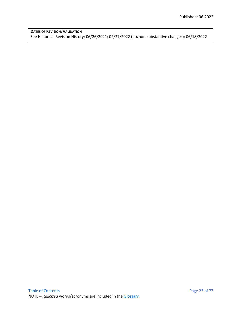**DATES OF REVISION/VALIDATION** See Historical Revision History; 06/26/2021; 02/27/2022 (no/non-substantive changes); 06/18/2022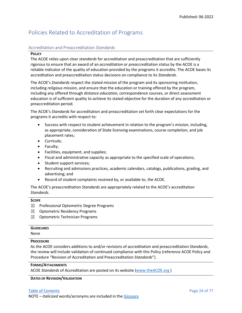## <span id="page-24-0"></span>Policies Related to Accreditation of Programs

#### <span id="page-24-1"></span>Accreditation and Preaccreditation *Standards*

#### **POLICY**

The ACOE relies upon clear *standards* for accreditation and preaccreditation that are sufficiently rigorous to ensure that an award of an *accreditation* or *preaccreditation status* by the ACOE is a reliable indicator of the quality of education provided by the programs it accredits. The ACOE bases its accreditation and preaccreditation status decisions on compliance to its *Standards*.

The ACOE's *Standards* respect the stated *mission* of the program and its sponsoring institution, including *religious mission*, and ensure that the education or training offered by the program, including any offered through *distance education,* correspondence courses, or direct assessment education is of sufficient quality to achieve its stated objective for the duration of any accreditation or preaccreditation period.

The ACOE's *Standards* for accreditation and preaccreditation set forth clear expectations for the programs it accredits with respect to:

- Success with respect to student achievement in relation to the program's *mission*, including, as appropriate, consideration of State licensing examinations, course completion, and job placement rates;
- *Curricula*;
- Faculty;
- Facilities, equipment, and supplies;
- Fiscal and administrative capacity as appropriate to the specified scale of operations;
- Student support services;
- Recruiting and admissions practices, academic calendars, catalogs, publications, grading, and advertising; and
- Record of student complaints received by, or available to, the ACOE.

The ACOE's preaccreditation *Standards* are appropriately related to the ACOE's accreditation *Standards*.

#### **SCOPE**

- $\boxtimes$  Professional Optometric Degree Programs
- $\boxtimes$  Optometric Residency Programs
- ☒ Optometric Technician Programs

#### **GUIDELINES**

None

#### **PROCEDURE**

As the ACOE considers additions to and/or revisions of accreditation and preaccreditation *Standards*, the review will include validation of continued compliance with this Policy (reference ACOE Policy and Procedure "Revision of Accreditation and Preaccreditation *Standards*").

#### **FORMS/ATTACHMENTS**

ACOE *Standards* of Accreditation are posted on its website [\(www.theACOE.org](http://www.theacoe.org/) )

#### **DATES OF REVISION/VALIDATION**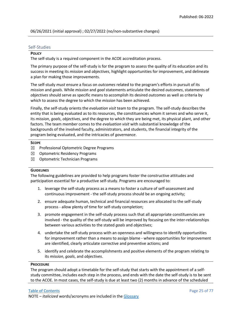06/26/2021 (initial approval) ; 02/27/2022 (no/non-substantive changes)

#### <span id="page-25-0"></span>Self-Studies

#### **POLICY**

The self-study is a required component in the ACOE accreditation process.

The primary purpose of the self-study is for the program to assess the quality of its education and its success in meeting its *mission* and *objectives*, highlight opportunities for improvement, and delineate a plan for making those improvements.

The self-study *must* ensure a focus on *outcomes* related to the program's efforts in pursuit of its *mission* and *goals*. While *mission* and *goal* statements articulate the desired *outcomes*, statements of *objectives* should serve as specific means to accomplish its desired *outcomes* as well as criteria by which to assess the degree to which the *mission* has been achieved.

Finally, the self-study orients the *evaluation visit* team to the program. The self-study describes the entity that is being evaluated as to its resources, the constituencies whom it serves and who serve it, its *mission*, *goals*, *objectives*, and the degree to which they are being met, its physical plant, and other factors. The team member comes to the *evaluation visit* with substantial knowledge of the backgrounds of the involved faculty, administrators, and students, the financial integrity of the program being evaluated, and the intricacies of *governance*.

#### **SCOPE**

- $\boxtimes$  Professional Optometric Degree Programs
- $\boxtimes$  Optometric Residency Programs
- $\boxtimes$  Optometric Technician Programs

#### **GUIDELINES**

The following guidelines are provided to help programs foster the constructive attitudes and participation essential for a productive self-study. Programs are encouraged to:

- 1. leverage the self-study process as a means to foster a culture of self-assessment and continuous improvement - the self-study process should be an ongoing activity;
- 2. ensure adequate human, technical and financial resources are allocated to the self-study process - allow plenty of time for self-study completion;
- 3. promote engagement in the self-study process such that all appropriate constituencies are involved - the quality of the self-study will be improved by focusing on the inter-relationships between various activities to the stated *goals* and *objectives*;
- 4. undertake the self-study process with an openness and willingness to identify opportunities for improvement rather than a means to assign blame - where opportunities for improvement are identified, clearly articulate corrective and preventive actions; and
- 5. identify and celebrate the accomplishments and positive elements of the program relating to its *mission*, *goals*, and *objectives*.

#### **PROCEDURE**

The program should adopt a timetable for the self-study that starts with the appointment of a selfstudy committee, includes each step in the process, and ends with the date the self-study is to be sent to the ACOE. In most cases, the self-study is due at least two (2) months in advance of the scheduled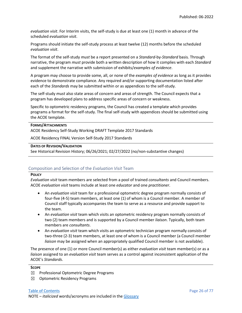*evaluation visit*. For Interim visits, the self-study is due at least one (1) month in advance of the scheduled *evaluation visit*.

Programs should initiate the self-study process at least twelve (12) months before the scheduled *evaluation visit*.

The format of the self-study *must* be a report presented on a *Standard*-by-*Standard* basis*.* Through narrative, the program *must* provide both a written description of how it complies with each *Standard* and supplement the narrative with submission of exhibits/*examples of evidence*.

A program may choose to provide some, all, or none of the *examples of evidence* as long as it provides evidence to demonstrate compliance. Any required and/or supporting documentation listed after each of the *Standards* may be submitted within or as appendices to the self-study.

The self-study *must* also state areas of concern and areas of strength. The Council expects that a program has developed plans to address specific areas of concern or weakness.

Specific to optometric residency programs, the Council has created a template which provides programs a format for the self-study. The final self-study with appendices should be submitted using the ACOE template.

#### **FORMS/ATTACHMENTS**

ACOE Residency Self-Study Working DRAFT Template 2017 Standards

ACOE Residency FINAL Version Self-Study 2017 Standards

#### **DATES OF REVISION/VALIDATION**

See Historical Revision History; 06/26/2021; 02/27/2022 (no/non-substantive changes)

#### <span id="page-26-0"></span>Composition and Selection of the *Evaluation Visit* Team

#### **POLICY**

*Evaluation visit* team members are selected from a pool of trained *consultants* and Council members. ACOE *evaluation visit* teams include at least one *educator* and one *practitioner*.

- An *evaluation visit* team for a professional optometric degree program normally consists of four-five (4-5) team members, at least one (1) of whom is a Council member. A member of Council staff typically accompanies the team to serve as a resource and provide support to the team.
- An *evaluation visit* team which visits an optometric residency program normally consists of two (2) team members and is supported by a Council member *liaison*. Typically, both team members are *consultants*.
- An *evaluation visit* team which visits an optometric technician program normally consists of two-three (2-3) team members, at least one of whom is a Council member (a Council member *liaison* may be assigned when an appropriately qualified Council member is not available).

The presence of one (1) or more Council member(s) as either *evaluation visit* team member(s) or as a *liaison* assigned to an *evaluation visit* team serves as a control against inconsistent application of the ACOE's *Standards*.

#### **SCOPE**

- ☒ Professional Optometric Degree Programs
- $\boxtimes$  Optometric Residency Programs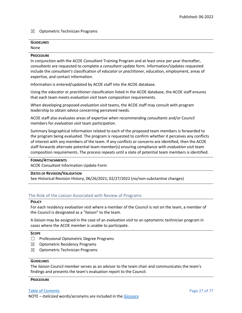#### $\boxtimes$  Optometric Technician Programs

#### **GUIDELINES** None

#### **PROCEDURE**

In conjunction with the ACOE *Consultant* Training Program and at least once per year thereafter, *consultants* are requested to complete a *consultant* update form. Information/Updates requested include the *consultant's* classification of *educator* or *practitioner,* education, employment, areas of expertise, and contact information.

Information is entered/updated by ACOE staff into the ACOE database.

Using the *educator* or *practitioner* classification listed in the ACOE database, the ACOE staff ensures that each team meets *evaluation visit* team composition requirements.

When developing proposed *evaluation visit* teams, the ACOE staff may consult with program leadership to obtain advice concerning perceived needs.

ACOE staff also evaluates areas of expertise when recommending *consultants* and/or Council members for *evaluation visit* team participation.

Summary biographical information related to each of the proposed team members is forwarded to the program being evaluated. The program is requested to confirm whether it perceives any conflicts of interest with any members of the team. If any conflicts or concerns are identified, then the ACOE staff forwards alternate potential team member(s) ensuring compliance with *evaluation visit* team composition requirements. The process repeats until a slate of potential team members is identified.

#### **FORMS/ATTACHMENTS**

ACOE *Consultant* Information Update Form

#### **DATES OF REVISION/VALIDATION**

See Historical Revision History; 06/26/2021; 02/27/2022 (no/non-substantive changes)

#### <span id="page-27-0"></span>The Role of the *Liaison* Associated with Review of Programs

#### **POLICY**

For each residency *evaluation visit* where a member of the Council is not on the team, a member of the Council is designated as a "*liaison*" to the team.

A *liaison* may be assigned in the case of an *evaluation visit* to an optometric technician program in cases where the ACOE member is unable to participate.

#### **SCOPE**

- ☐ Professional Optometric Degree Programs
- $\boxtimes$  Optometric Residency Programs
- ☒ Optometric Technician Programs

#### **GUIDELINES**

The *liaison* Council member serves as an advisor to the team chair and communicates the team's findings and presents the team's evaluation report to the Council.

#### **PROCEDURE**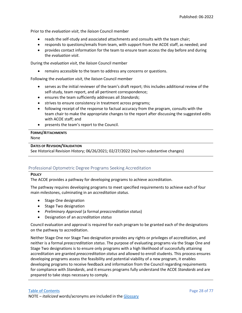Prior to the *evaluation visit*, the *liaison* Council member

- reads the self-study and associated attachments and consults with the team chair;
- responds to questions/emails from team, with support from the ACOE staff, as needed; and
- provides contact information for the team to ensure team access the day before and during the *evaluation visit*.

During the *evaluation visit*, the *liaison* Council member

• remains accessible to the team to address any concerns or questions.

Following the *evaluation visit*, the *liaison* Council member

- serves as the initial reviewer of the team's draft report; this includes additional review of the self-study, team report, and all pertinent correspondence;
- ensures the team sufficiently addresses all *Standards*;
- strives to ensure consistency in treatment across programs;
- following receipt of the response to factual accuracy from the program, consults with the team chair to make the appropriate changes to the report after discussing the suggested edits with ACOE staff; and
- presents the team's report to the Council.

## **FORMS/ATTACHMENTS**

None

#### **DATES OF REVISION/VALIDATION**

See Historical Revision History; 06/26/2021; 02/27/2022 (no/non-substantive changes)

#### <span id="page-28-0"></span>Professional Optometric Degree Programs Seeking Accreditation

#### **POLICY**

The ACOE provides a pathway for developing programs to achieve accreditation.

The pathway requires developing programs to meet specified requirements to achieve each of four main milestones, culminating in an *accreditation status*.

- Stage One designation
- Stage Two designation
- *Preliminary Approval* (a formal *preaccreditation status*)
- Designation of an *accreditation status*

Council evaluation and approval is required for each program to be granted each of the designations on the pathway to accreditation.

Neither Stage One nor Stage Two designation provides any rights or privileges of accreditation, and neither is a formal *preaccreditation status*. The purpose of evaluating programs via the Stage One and Stage Two designations is to ensure only programs with a high likelihood of successfully attaining accreditation are granted *preaccreditation status* and allowed to enroll students. This process ensures developing programs assess the feasibility and potential viability of a new program, it enables developing programs to receive feedback and information from the Council regarding requirements for compliance with *Standards*, and it ensures programs fully understand the ACOE *Standards* and are prepared to take steps necessary to comply.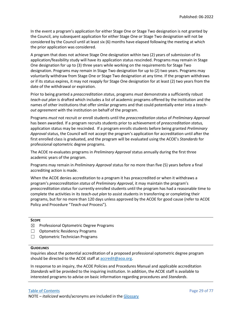In the event a program's application for either Stage One or Stage Two designation is not granted by the Council, any subsequent application for either Stage One or Stage Two designation will not be considered by the Council until at least six (6) months have elapsed following the meeting at which the prior application was considered.

A program that does not achieve Stage One designation within two (2) years of submission of its application/feasibility study will have its application status rescinded. Programs may remain in Stage One designation for up to (3) three years while working on the requirements for Stage Two designation. Programs may remain in Stage Two designation for up to (2) two years. Programs may voluntarily withdraw from Stage One or Stage Two designation at any time. If the program withdraws or if its status expires, it may not reapply for Stage One designation for at least (2) two years from the date of the withdrawal or expiration.

Prior to being granted a *preaccreditation status*, programs *must* demonstrate a sufficiently robust *teach-out plan* is drafted which includes a list of academic programs offered by the institution and the names of other institutions that offer similar programs and that could potentially enter into a *teachout agreement* with the institution on behalf of the program.

Programs *must* not recruit or enroll students until the *preaccreditation status* of *Preliminary Approval* has been awarded. If a program recruits students prior to achievement of *preaccreditation status,*  application status may be rescinded*.* If a program enrolls students before being granted *Preliminary Approval* status, the Council will not accept the program's application for accreditation until after the first enrolled class is graduated, and the program will be evaluated using the ACOE's *Standards* for professional optometric degree programs.

The ACOE re-evaluates programs in *Preliminary Approval* status annually during the first three academic years of the program.

Programs may remain in *Preliminary Approval* status for no more than five (5) years before a final accrediting action is made.

When the ACOE denies accreditation to a program it has preaccredited or when it withdraws a program's *preaccreditation status* of *Preliminary Approval*, it may maintain the program's *preaccreditation status* for currently enrolled students until the program has had a reasonable time to complete the activities in its *teach-out plan* to assist students in transferring or completing their programs, but for no more than 120 days unless approved by the ACOE for good cause (refer to ACOE Policy and Procedure "*Teach-out* Process").

#### **SCOPE**

- ☒ Professional Optometric Degree Programs
- ☐ Optometric Residency Programs
- ☐ Optometric Technician Programs

#### **GUIDELINES**

Inquiries about the potential accreditation of a proposed professional optometric degree program should be directed to the ACOE staff at [accredit@aoa.org.](mailto:accredit@aoa.org)

In response to an inquiry, the ACOE Policies and Procedures Manual and applicable accreditation *Standards* will be provided to the inquiring institution. In addition, the ACOE staff is available to interested programs to advise on basic information regarding procedures and *Standards*.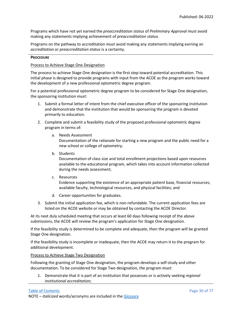Programs which have not yet earned the *preaccreditation status* of *Preliminary Approval must* avoid making any statements implying achievement of *preaccreditation status*.

Programs on the pathway to accreditation *must* avoid making any statements implying earning an *accreditation* or *preaccreditation status* is a certainty.

#### **PROCEDURE**

#### Process to Achieve Stage One Designation

The process to achieve Stage One designation is the first step toward potential accreditation. This initial phase is designed to provide programs with input from the ACOE as the program works toward the development of a new professional optometric degree program.

For a potential professional optometric degree program to be considered for Stage One designation, the sponsoring institution *must*:

- 1. Submit a formal letter of intent from the chief executive officer of the sponsoring institution and demonstrate that the institution that would be sponsoring the program is devoted primarily to education.
- 2. Complete and submit a feasibility study of the proposed professional optometric degree program in terms of:
	- a. Needs Assessment

Documentation of the rationale for starting a new program and the public need for a new school or college of optometry;

b. Students

Documentation of class size and total enrollment projections based upon resources available to the educational program, which takes into account information collected during the needs assessment;

c. Resources

Evidence supporting the existence of an appropriate patient base, financial resources, available faculty, technological resources, and physical facilities; and

- d. Career opportunities for graduates.
- 3. Submit the initial application fee, which is non-refundable. The current application fees are listed on the ACOE website or may be obtained by contacting the ACOE Director.

At its next duly scheduled meeting that occurs at least 60 days following receipt of the above submissions, the ACOE will review the program's application for Stage One designation.

If the feasibility study is determined to be complete and adequate, then the program will be granted Stage One designation.

If the feasibility study is incomplete or inadequate, then the ACOE may return it to the program for additional development.

Process to Achieve Stage Two Designation

Following the granting of Stage One designation, the program develops a self-study and other documentation. To be considered for Stage Two designation, the program *must*:

1. Demonstrate that it is part of an institution that possesses or is actively seeking *regional institutional accreditation*;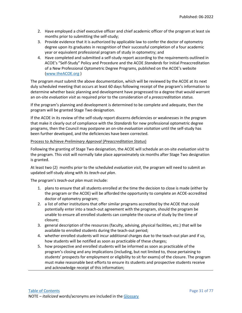- 2. Have employed a chief executive officer and chief academic officer of the program at least six months prior to submitting the self-study;
- 3. Provide evidence that it is authorized by applicable law to confer the doctor of optometry degree upon its graduates in recognition of their successful completion of a four academic year or equivalent professional program of study in optometry; and
- 4. Have completed and submitted a self-study report according to the requirements outlined in ACOE's "Self-Study" Policy and Procedure and the ACOE *Standards* for Initial Preaccreditation of a New Professional Optometric Degree Programs, published on the ACOE's website [\(www.theACOE.org](http://www.theacoe.org/) )

The program *must* submit the above documentation, which will be reviewed by the ACOE at its next duly scheduled meeting that occurs at least 60 days following receipt of the program's information to determine whether basic planning and development have progressed to a degree that would warrant an on-site *evaluation visit* as required prior to the consideration of a *preaccreditation status.*

If the program's planning and development is determined to be complete and adequate, then the program will be granted Stage Two designation.

If the ACOE in its review of the self-study report discerns deficiencies or weaknesses in the program that make it clearly out of compliance with the *Standards* for new professional optometric degree programs, then the Council may postpone an on-site *evaluation visitation* until the self-study has been further developed, and the deficiencies have been corrected.

#### Process to Achieve *Preliminary Approval* (*Preaccreditation Status*)

Following the granting of Stage Two designation, the ACOE will schedule an on-site *evaluation visit* to the program. This visit will normally take place approximately six months after Stage Two designation is granted.

At least two (2) months prior to the scheduled *evaluation visit*, the program will need to submit an updated self-study along with its *teach-out plan*.

The program's *teach-out plan* must include:

- 1. plans to ensure that all students enrolled at the time the decision to close is made (either by the program or the ACOE) will be afforded the opportunity to complete an ACOE-accredited doctor of optometry program;
- 2. a list of other institutions that offer similar programs accredited by the ACOE that could potentially enter into a teach-out agreement with the program, should the program be unable to ensure all enrolled students can complete the course of study by the time of closure;
- 3. general description of the resources (faculty, advising, physical facilities, etc.) that will be available to enrolled students during the teach-out period;
- 4. whether enrolled students will incur additional charges due to the teach-out plan and if so, how students will be notified as soon as practicable of these charges;
- 5. how prospective and enrolled students will be informed as soon as practicable of the program's closing and any implications (including, but not limited to, those pertaining to students' prospects for employment or eligibility to sit for exams) of the closure. The program must make reasonable best efforts to ensure its students and prospective students receive and acknowledge receipt of this information;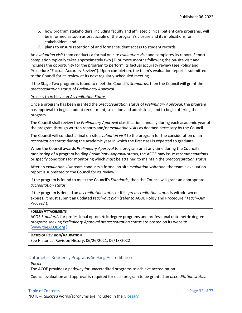- 6. how program stakeholders, including faculty and affiliated clinical patient care programs, will be informed as soon as practicable of the program's closure and its implications for stakeholders; and
- 7. plans to ensure retention of and former student access to student records.

An *evaluation visit* team conducts a formal on-site *evaluation visit* and completes its report. Report completion typically takes approximately two (2) or more months following the on-site visit and includes the opportunity for the program to perform its factual accuracy review (see Policy and Procedure "Factual Accuracy Review"). Upon completion, the team's evaluation report is submitted to the Council for its review at its next regularly scheduled meeting.

If the Stage Two program is found to meet the Council's *Standards*, then the Council will grant the *preaccreditation status* of *Preliminary Approval.*

#### Process to Achieve an *Accreditation Status*

Once a program has been granted the *preaccreditation status* of *Preliminary Approval*, the program has approval to begin student recruitment, selection and admissions, and to begin offering the program.

The Council shall review the *Preliminary Approval* classification annually during each academic year of the program through written reports and/or *evaluation visits* as deemed necessary by the Council.

The Council will conduct a final on-site *evaluation visit* to the program for the consideration of an *accreditation status* during the academic year in which the first class is expected to graduate.

When the Council awards *Preliminary Approval* to a program or at any time during the Council's monitoring of a program holding *Preliminary Approval* status, the ACOE may issue *recommendations* or specify conditions for monitoring which *must* be attained to maintain the *preaccreditation status*.

After an *evaluation visit* team conducts a formal on-site *evaluation visitation*, the team's evaluation report is submitted to the Council for its review.

If the program is found to meet the Council's *Standards*, then the Council will grant an appropriate *accreditation status*.

If the program is denied an *accreditation status* or if its *preaccreditation status* is withdrawn or expires, it must submit an updated *teach-out plan* (refer to ACOE Policy and Procedure "*Teach-Out* Process").

#### **FORMS/ATTACHMENTS**

ACOE *Standards* for professional optometric degree programs and professional optometric degree programs seeking *Preliminary Approval preaccreditation status* are posted on its website [\(www.theACOE.org](http://www.theacoe.org/) )

#### **DATES OF REVISION/VALIDATION**

See Historical Revision History; 06/26/2021; 06/18/2022

#### <span id="page-32-0"></span>Optometric Residency Programs Seeking Accreditation

#### **POLICY**

The ACOE provides a pathway for unaccredited programs to achieve accreditation.

Council evaluation and approval is required for each program to be granted an *accreditation status*.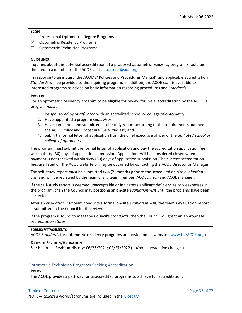#### **SCOPE**

- ☐ Professional Optometric Degree Programs
- ☒ Optometric Residency Programs
- □ Optometric Technician Programs

#### **GUIDELINES**

Inquiries about the potential accreditation of a proposed optometric residency program should be directed to a member of the ACOE staff at [accredit@aoa.org.](mailto:accredit@aoa.org)

In response to an inquiry, the ACOE's "Policies and Procedures Manual" and applicable accreditation *Standards* will be provided to the inquiring program. In addition, the ACOE staff is available to interested programs to advise on basic information regarding procedures and *Standards*.

#### **PROCEDURE**

For an optometric residency program to be eligible for review for initial accreditation by the ACOE, a program *must*:

- 1. Be *sponsored* by or *affiliated* with an accredited school or college of optometry.
- 2. Have appointed a program *supervisor*;
- 3. Have completed and submitted a self-study report according to the requirements outlined the ACOE Policy and Procedure "Self-Studies"; and
- 4. Submit a formal letter of application from the chief executive officer of the *affiliated school or college of optometry.*

The program must submit the formal letter of application and pay the accreditation application fee within thirty (30) days of application submission. Applications will be considered closed when payment is not received within sixty (60) days of application submission. The current accreditation fees are listed on the ACOE website or may be obtained by contacting the ACOE Director or Manager.

The self-study report *must* be submitted two (2) months prior to the scheduled on-site *evaluation visit* and will be reviewed by the team chair, team member, ACOE *liaison* and ACOE manager.

If the self-study report is deemed unacceptable or indicates significant deficiencies or weaknesses in the program, then the Council may postpone an on-site *evaluation visit* until the problems have been corrected.

After an *evaluation visit* team conducts a formal on-site *evaluation visit*, the team's evaluation report is submitted to the Council for its review.

If the program is found to meet the Council's *Standards*, then the Council will grant an appropriate *accreditation status*.

#### **FORMS/ATTACHMENTS**

ACOE *Standards* for optometric residency programs are posted on its website ( [www.theACOE.org](http://www.theacoe.org/) )

#### **DATES OF REVISION/VALIDATION**

See Historical Revision History; 06/26/2021; 02/27/2022 (no/non-substantive changes)

#### <span id="page-33-0"></span>Optometric Technician Programs Seeking Accreditation

#### **POLICY**

The ACOE provides a pathway for unaccredited programs to achieve full accreditation.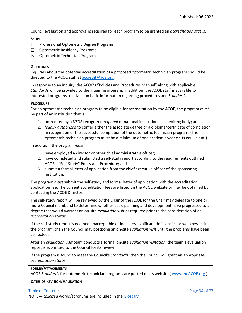Council evaluation and approval is required for each program to be granted an *accreditation status*.

#### **SCOPE**

- ☐ Professional Optometric Degree Programs
- ☐ Optometric Residency Programs
- $\boxtimes$  Optometric Technician Programs

#### **GUIDELINES**

Inquiries about the potential accreditation of a proposed optometric technician program should be directed to the ACOE staff at  $\frac{accredit@}{a}$ oa.org.

In response to an inquiry, the ACOE's "Policies and Procedures Manual" along with applicable *Standards* will be provided to the inquiring program. In addition, the ACOE staff is available to interested programs to advise on basic information regarding procedures and *Standards*.

#### **PROCEDURE**

For an optometric technician program to be eligible for accreditation by the ACOE, the program *must* be part of an institution that is:

- 1. accredited by a *USDE* recognized *regional* or national institutional accrediting body; and
- 2. *legally authorized* to confer either the associate degree or a diploma/certificate of completion in recognition of the successful completion of the optometric technician program. (The optometric technician program *must* be a minimum of one academic year or its equivalent.)

In addition, the program *must*:

- 1. have employed a director or other chief administrative officer;
- 2. have completed and submitted a self-study report according to the requirements outlined ACOE's "Self-Study" Policy and Procedure; and
- 3. submit a formal letter of application from the chief executive officer of the sponsoring institution.

The program *must* submit the self-study and formal letter of application with the accreditation application fee. The current accreditation fees are listed on the ACOE website or may be obtained by contacting the ACOE Director.

The self-study report will be reviewed by the Chair of the ACOE (or the Chair may delegate to one or more Council members) to determine whether basic planning and development have progressed to a degree that would warrant an on-site *evaluation visit* as required prior to the consideration of an *accreditation status*.

If the self-study report is deemed unacceptable or indicates significant deficiencies or weaknesses in the program, then the Council may postpone an on-site *evaluation visit* until the problems have been corrected.

After an *evaluation visit* team conducts a formal on-site *evaluation visitation*, the team's evaluation report is submitted to the Council for its review.

If the program is found to meet the Council's *Standards*, then the Council will grant an appropriate *accreditation status*.

#### **FORMS/ATTACHMENTS**

ACOE *Standards* for optometric technician programs are posted on its website ( [www.theACOE.org](http://www.theacoe.org/) )

#### **DATES OF REVISION/VALIDATION**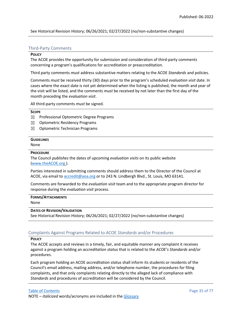See Historical Revision History; 06/26/2021; 02/27/2022 (no/non-substantive changes)

#### <span id="page-35-0"></span>Third-Party Comments

#### **POLICY**

The ACOE provides the opportunity for submission and consideration of third-party comments concerning a program's qualifications for accreditation or preaccreditation.

Third party comments *must* address substantive matters relating to the ACOE *Standards* and policies.

Comments *must* be received thirty (30) days prior to the program's scheduled *evaluation visit* date. In cases where the exact date is not yet determined when the listing is published, the month and year of the visit will be listed, and the comments *must* be received by not later than the first day of the month preceding the *evaluation visit*.

All third-party comments *must* be signed.

#### **SCOPE**

- ☒ Professional Optometric Degree Programs
- $\boxtimes$  Optometric Residency Programs
- ☒ Optometric Technician Programs

#### **GUIDELINES**

None

#### **PROCEDURE**

The Council *publishes* the dates of upcoming *evaluation visits* on its public website [\(www.theACOE.org](http://www.theacoe.org/) ).

Parties interested in submitting comments should address them to the Director of the Council at ACOE, via email to [accredit@aoa.org](mailto:accredit@aoa.org) or to 243 N. Lindbergh Blvd., St. Louis, MO 63141.

Comments are forwarded to the *evaluation visit* team and to the appropriate program director for response during the *evaluation visit* process.

#### **FORMS/ATTACHMENTS**

None

#### **DATES OF REVISION/VALIDATION**

See Historical Revision History; 06/26/2021; 02/27/2022 (no/non-substantive changes)

#### <span id="page-35-1"></span>Complaints Against Programs Related to ACOE *Standards* and/or Procedures

#### **POLICY**

The ACOE accepts and reviews in a timely, fair, and equitable manner any complaint it receives against a program holding an *accreditation status* that is related to the *ACOE's Standards* and/or procedures.

Each program holding an ACOE *accreditation status* shall inform its students or residents of the Council's email address, mailing address, and/or telephone number, the procedures for filing complaints, and that only complaints relating directly to the alleged lack of compliance with *Standards* and procedures of accreditation will be considered by the Council.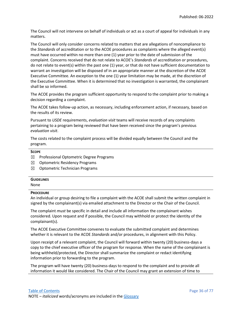The Council will not intervene on behalf of individuals or act as a court of appeal for individuals in any matters.

The Council will only consider concerns related to matters that are allegations of noncompliance to the *Standards* of accreditation or to the ACOE procedures as complaints where the alleged event(s) must have occurred within no more than one (1) year prior to the date of submission of the complaint. Concerns received that do not relate to ACOE's *Standards* of accreditation or procedures, do not relate to event(s) within the past one (1) year, or that do not have sufficient documentation to warrant an investigation will be disposed of in an appropriate manner at the discretion of the ACOE Executive Committee. An exception to the one (1) year limitation may be made, at the discretion of the Executive Committee. When it is determined that no investigation is warranted, the complainant shall be so informed.

The ACOE provides the program sufficient opportunity to respond to the complaint prior to making a decision regarding a complaint.

The ACOE takes follow-up action, as necessary, including enforcement action, if necessary, based on the results of its review.

Pursuant to *USDE* requirements, *evaluation visit* teams will receive records of any complaints pertaining to a program being reviewed that have been received since the program's previous *evaluation visit*.

The costs related to the complaint process will be divided equally between the Council and the program.

## **SCOPE**

- $\boxtimes$  Professional Optometric Degree Programs
- ☒ Optometric Residency Programs
- $\boxtimes$  Optometric Technician Programs

## **GUIDELINES**

None

## **PROCEDURE**

An individual or group desiring to file a complaint with the ACOE shall submit the written complaint in signed by the complainant(s) via emailed attachment to the Director or the Chair of the Council.

The complaint *must* be specific in detail and include all information the complainant wishes considered. Upon request and if possible, the Council may withhold or protect the identity of the complainant(s).

The ACOE Executive Committee convenes to evaluate the submitted complaint and determines whether it is relevant to the ACOE *Standards* and/or procedures, in alignment with this Policy.

Upon receipt of a relevant complaint, the Council will forward within twenty (20) business-days a copy to the chief executive officer of the program for response. When the name of the complainant is being withheld/protected, the Director shall summarize the complaint or redact identifying information prior to forwarding to the program.

The program will have twenty (20) business-days to respond to the complaint and to provide all information it would like considered. The Chair of the Council may grant an extension of time to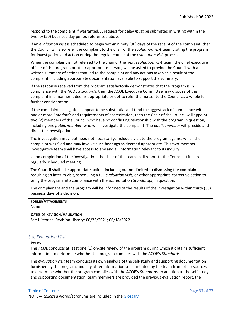respond to the complaint if warranted. A request for delay *must* be submitted in writing within the twenty (20) business-day period referenced above.

If an *evaluation visit* is scheduled to begin within ninety (90) days of the receipt of the complaint, then the Council will also refer the complaint to the chair of the *evaluation visit* team visiting the program for investigation and action during the regular course of the *evaluation visit* process.

When the complaint is not referred to the chair of the next *evaluation visit* team, the chief executive officer of the program, or other appropriate person, will be asked to provide the Council with a written summary of actions that led to the complaint and any actions taken as a result of the complaint, including appropriate documentation available to support the summary.

If the response received from the program satisfactorily demonstrates that the program is in compliance with the ACOE *Standards*, then the ACOE Executive Committee may dispose of the complaint in a manner it deems appropriate or opt to refer the matter to the Council as a whole for further consideration.

If the complaint's allegations appear to be substantial and tend to suggest lack of compliance with one or more *Standards* and requirements of accreditation, then the Chair of the Council will appoint two (2) members of the Council who have no conflicting relationship with the program in question, including one *public member*, who will investigate the complaint. The *public member* will preside and direct the investigation.

The investigation may, but need not necessarily, include a visit to the program against which the complaint was filed and may involve such hearings as deemed appropriate. This two-member investigative team shall have access to any and all information relevant to its inquiry.

Upon completion of the investigation, the chair of the team shall report to the Council at its next regularly scheduled meeting.

The Council shall take appropriate action, including but not limited to dismissing the complaint, requiring an interim visit, scheduling a full *evaluation visit*, or other appropriate corrective action to bring the program into compliance with the accreditation *Standard(s)* in question.

The complainant and the program will be informed of the results of the investigation within thirty (30) business days of a decision.

## **FORMS/ATTACHMENTS**

None

## **DATES OF REVISION/VALIDATION**

See Historical Revision History; 06/26/2021; 06/18/2022

## Site *Evaluation Visit*

### **POLICY**

The *ACOE* conducts at least one (1) on-site review of the program during which it obtains sufficient information to determine whether the program complies with the ACOE's *Standards*.

The *evaluation visit* team conducts its own analysis of the self-study and supporting documentation furnished by the program, and any other information substantiated by the team from other sources to determine whether the program complies with the ACOE's *Standards*. In addition to the self-study and supporting documentation, team members are provided the previous evaluation report, the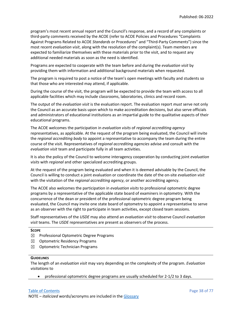program's most recent annual report and the Council's response, and a record of any complaints or third-party comments received by the ACOE (refer to ACOE Policies and Procedures "Complaints Against Programs Related to ACOE *Standards* or Procedures" and "Third-Party Comments") since the most recent *evaluation visit*, along with the resolution of the complaint(s). Team members are expected to familiarize themselves with these materials prior to the visit, and to request any additional needed materials as soon as the need is identified.

Programs are expected to cooperate with the team before and during the *evaluation visit* by providing them with information and additional background materials when requested.

The program is required to post a notice of the team's open meetings with faculty and students so that those who are interested may attend, if applicable.

During the course of the visit, the program will be expected to provide the team with access to all applicable facilities which may include classrooms, laboratories, clinics and record room.

The output of the *evaluation visit* is the evaluation report. The evaluation report *must* serve not only the Council as an accurate basis upon which to make accreditation decisions, but also serve officials and administrators of educational institutions as an impartial guide to the qualitative aspects of their educational programs.

The ACOE welcomes the participation in *evaluation visits* of *regional accrediting agency*  representatives, as applicable. At the request of the program being evaluated, the Council will invite the *regional accrediting body* to appoint a representative to accompany the team during the entire course of the visit. Representatives of *regional accrediting agencies* advise and consult with the *evaluation visit* team and participate fully in all team activities.

It is also the policy of the Council to welcome interagency cooperation by conducting joint *evaluation visits* with *regional* and other specialized accrediting groups.

At the request of the program being evaluated and when it is deemed advisable by the Council, the Council is willing to conduct a joint evaluation or coordinate the date of the on-site *evaluation visit* with the visitation of the *regional accrediting agency*, or another accrediting agency.

The ACOE also welcomes the participation in *evaluation visits* to professional optometric degree programs by a representative of the applicable state board of examiners in optometry. With the concurrence of the dean or president of the professional optometric degree program being evaluated, the Council may invite one state board of optometry to appoint a representative to serve as an observer with the right to participate in team activities, except closed team sessions.

Staff representatives of the *USDE* may also attend an *evaluation visit* to observe Council *evaluation visit* teams. The *USDE* representatives are present as observers of the process.

### **SCOPE**

- ☒ Professional Optometric Degree Programs
- ☒ Optometric Residency Programs
- $\boxtimes$  Optometric Technician Programs

### **GUIDELINES**

The length of an *evaluation visit* may vary depending on the complexity of the program. *Evaluation visitations* to

• professional optometric degree programs are usually scheduled for 2-1/2 to 3 days.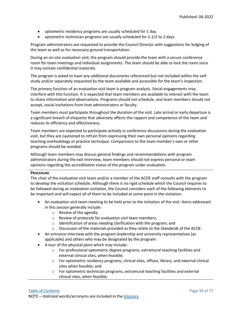- optometric residency programs are usually scheduled for 1 day.
- optometric technician programs are usually scheduled for 1-1/2 to 2 days.

Program administrators are requested to provide the Council Director with suggestions for lodging of the team as well as for necessary ground transportation.

During an on-site *evaluation visit*, the program should provide the team with a secure conference room for team meetings and individual assignments. The team should be able to lock the room since it may contain confidential materials.

The program is asked to have any additional documents referenced but not included within the selfstudy and/or separately requested by the team available and accessible for the team's inspection.

The primary function of an *evaluation visit* team is program analysis. Social engagements may interfere with this function. It is expected that team members are available to interact with the team to share information and observations. Programs should not schedule, and team members should not accept, social invitations from host administrators or faculty.

Team members *must* participate throughout the duration of the visit. Late arrival or early departure is a significant breach of etiquette that adversely affects the rapport and competence of the team and reduces its efficiency and effectiveness.

Team members are expected to participate actively in conference discussions during the *evaluation visit*, but they are cautioned to refrain from expressing their own personal opinions regarding teaching methodology or practice technique. Comparisons to the team member's own or other programs should be avoided.

Although team members may discuss general findings and recommendations with program administrators during the exit interview, team members should not express personal or team opinions regarding the *accreditation status* of the program under evaluation.

## **PROCEDURE**

The chair of the *evaluation visit* team and/or a member of the ACOE staff consults with the program to develop the visitation schedule. Although there is no rigid schedule which the Council requires to be followed during an *evaluation visitation*, the Council considers each of the following elements to be important and will expect all of them to be included at some point in the visitation.

- An *evaluation visit* team meeting to be held prior to the initiation of the visit. Items addressed in this session generally include:
	- o Review of the agenda;
	- o Review of protocols for *evaluation visit* team members;
	- o Identification of areas needing clarification with the program; and
	- o Discussion of the materials provided as they relate to the *Standards* of the ACOE*.*
- An entrance interview with the program leadership and university representatives (as applicable) and others who may be designated by the program:
- A tour of the physical plant which may include:
	- $\circ$  For professional optometric degree programs, extramural teaching facilities and external clinical sites, when feasible;
	- o For optometric residency programs, clinical sites, offices, library, and external clinical sites when feasible; and
	- o For optometric technician programs, extramural teaching facilities and external clinical sites, when feasible.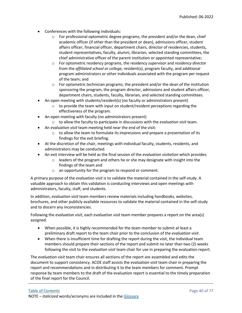- Conferences with the following individuals:
	- $\circ$  For professional optometric degree programs, the president and/or the dean, chief academic officer (if other than the president or dean), admissions officer, student affairs officer, financial officer, department chairs, director of residencies, students, student representatives, faculty, alumni, librarian, selected standing committees, the chief administrative officer of the parent institution or appointed representative;
	- o For optometric residency programs, the residency *supervisor* and *residency director* from the *affiliated school or college,* resident(s), program faculty, and additional program administrators or other individuals associated with the program per request of the team; and
	- $\circ$  For optometric technician programs, the president and/or the dean of the institution sponsoring the program, the program director, admissions and student affairs officer, department chairs, students, faculty, librarian, and selected standing committees.
- An open meeting with students/resident(s) (no faculty or administrators present)
	- $\circ$  to provide the team with input on student/resident perceptions regarding the effectiveness of the program.
- An open meeting with faculty (no administrators present)
	- o to allow the faculty to participate in discussions with the *evaluation visit* team.
- An *evaluation visit* team meeting held near the end of the visit:
	- $\circ$  to allow the team to formulate its impressions and prepare a presentation of its findings for the exit briefing.
- At the discretion of the chair, meetings with individual faculty, students, residents, and administrators may be conducted.
- An exit interview will be held as the final session of the *evaluation visitation* which provides:
	- $\circ$  leaders of the program and others he or she may designate with insight into the findings of the team and
	- o an opportunity for the program to respond or comment.

A primary purpose of the *evaluation visit* is to validate the material contained in the self-study. A valuable approach to obtain this validation is conducting interviews and open meetings with administrators, faculty, staff, and students.

In addition, *evaluation visit* team members review materials including handbooks, websites, brochures, and other publicly available resources to validate the material contained in the self-study and to discern any inconsistencies.

Following the *evaluation visit*, each *evaluation visit* team member prepares a report on the area(s) assigned.

- When possible, it is highly recommended for the team member to submit at least a preliminary draft report to the team chair prior to the conclusion of the *evaluation visit*.
- When there is insufficient time for drafting the report during the visit, the individual team members should prepare their sections of the report and submit no later than two (2) weeks following the visit to the *evaluation visit* team chair for use in preparing the evaluation report.

The *evaluation visit* team chair ensures all sections of the report are assembled and edits the document to support consistency. ACOE staff assists the *evaluation visit* team chair in preparing the report and recommendations and in distributing it to the team members for comment. Prompt response by team members to the draft of the evaluation report is essential to the timely preparation of the final report for the Council.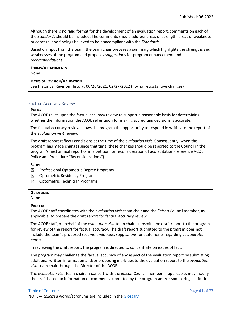Although there is no rigid format for the development of an evaluation report, comments on each of the *Standards* should be included. The comments should address areas of strength, areas of weakness or concern, and findings believed to be noncompliant with the *Standards*.

Based on input from the team, the team chair prepares a summary which highlights the strengths and weaknesses of the program and proposes *suggestions* for program enhancement and *recommendations*.

# **FORMS/ATTACHMENTS**

None

## **DATES OF REVISION/VALIDATION**

See Historical Revision History; 06/26/2021; 02/27/2022 (no/non-substantive changes)

## Factual Accuracy Review

## **POLICY**

The ACOE relies upon the factual accuracy review to support a reasonable basis for determining whether the information the ACOE relies upon for making accrediting decisions is accurate.

The factual accuracy review allows the program the opportunity to respond in writing to the report of the *evaluation visit* review.

The draft report reflects conditions at the time of the *evaluation visit*. Consequently, when the program has made changes since that time, these changes should be reported to the Council in the program's next annual report or in a petition for reconsideration of accreditation (reference ACOE Policy and Procedure "Reconsiderations").

## **SCOPE**

- ☒ Professional Optometric Degree Programs
- ☒ Optometric Residency Programs
- $\boxtimes$  Optometric Technician Programs

## **GUIDELINES**

None

## **PROCEDURE**

The ACOE staff coordinates with the *evaluation visit* team chair and the *liaison* Council member, as applicable, to prepare the draft report for factual accuracy review.

The ACOE staff, on behalf of the *evaluation visit* team chair, transmits the draft report to the program for review of the report for factual accuracy. The draft report submitted to the program does not include the team's proposed *recommendations, suggestions,* or statements regarding *accreditation status*.

In reviewing the draft report, the program is directed to concentrate on issues of fact.

The program may challenge the factual accuracy of any aspect of the evaluation report by submitting additional written information and/or proposing mark-ups to the evaluation report to the *evaluation visit* team chair through the Director of the ACOE.

The *evaluation visit* team chair, in concert with the *liaison* Council member, if applicable, may modify the draft based on information or comments submitted by the program and/or sponsoring institution.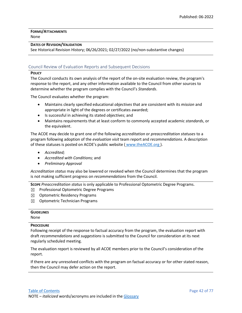**FORMS/ATTACHMENTS** None

## **DATES OF REVISION/VALIDATION**

See Historical Revision History; 06/26/2021; 02/27/2022 (no/non-substantive changes)

## Council Review of Evaluation Reports and Subsequent Decisions

### **POLICY**

The Council conducts its own analysis of the report of the on-site evaluation review, the program's response to the report, and any other information available to the Council from other sources to determine whether the program complies with the Council's *Standards*.

The Council evaluates whether the program:

- Maintains clearly specified educational *objectives* that are consistent with its *mission* and appropriate in light of the degrees or certificates awarded;
- Is successful in achieving its stated *objectives*; and
- Maintains requirements that at least conform to commonly accepted academic *standards*, or the equivalent.

The ACOE may decide to grant one of the following *accreditation* or *preaccreditation statuses* to a program following adoption of the *evaluation visit* team report and *recommendations*. A description of these statuses is posted on ACOE's public website ( [www.theACOE.org](http://www.theacoe.org/) ).

- *Accredited;*
- *Accredited with Conditions;* and
- *Preliminary Approval*

*Accreditation status* may also be lowered or revoked when the Council determines that the program is not making sufficient progress on *recommendations* from the Council.

**SCOPE** *Preaccreditation status* is only applicable to Professional Optometric Degree Programs.

- $\boxtimes$  Professional Optometric Degree Programs
- ☒ Optometric Residency Programs
- $\boxtimes$  Optometric Technician Programs

# **GUIDELINES** None

## **PROCEDURE**

Following receipt of the response to factual accuracy from the program, the evaluation report with draft *recommendations* and *suggestions* is submitted to the Council for consideration at its next regularly scheduled meeting.

The evaluation report is reviewed by all ACOE members prior to the Council's consideration of the report.

If there are any unresolved conflicts with the program on factual accuracy or for other stated reason, then the Council may defer action on the report.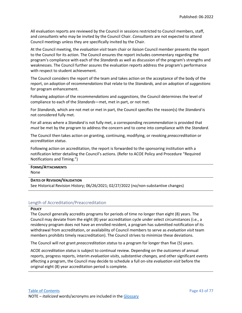All evaluation reports are reviewed by the Council in sessions restricted to Council members, staff, and *consultants* who may be invited by the Council Chair. *Consultants* are not expected to attend Council meetings unless they are specifically invited by the Chair.

At the Council meeting, the *evaluation visit* team chair or *liaison* Council member presents the report to the Council for its action. The Council ensures the report includes commentary regarding the program's compliance with each of the *Standards* as well as discussion of the program's strengths and weaknesses. The Council further assures the evaluation reports address the program's performance with respect to student achievement.

The Council considers the report of the team and takes action on the acceptance of the body of the report, on adoption of *recommendations* that relate to the *Standards,* and on adoption of *suggestions* for program enhancement.

Following adoption of the *recommendations* and *suggestions*, the Council determines the level of compliance to each of the *Standards*—met, met in part, or not met.

For *Standards*, which are not met or met in part, the Council specifies the reason(s) the *Standard* is not considered fully met.

For all areas where a *Standard* is not fully met, a corresponding *recommendation* is provided that *must* be met by the program to address the concern and to come into compliance with the *Standard*.

The Council then takes action on granting, continuing, modifying, or revoking *preaccreditation* or *accreditation status*.

Following action on accreditation, the report is forwarded to the sponsoring institution with a notification letter detailing the Council's actions. (Refer to ACOE Policy and Procedure "Required Notifications and Timing.")

| <b>FORMS/ATTACHMENTS</b> |  |
|--------------------------|--|
| None                     |  |

**DATES OF REVISION/VALIDATION**

See Historical Revision History; 06/26/2021; 02/27/2022 (no/non-substantive changes)

## Length of Accreditation/Preaccreditation

## **POLICY**

The Council generally accredits programs for periods of time no longer than eight (8) years. The Council may deviate from the eight (8) year accreditation cycle under select circumstances (i.e., a residency program does not have an enrolled resident, a program has submitted notification of its withdrawal from accreditation, or availability of Council members to serve as *evaluation visit* team members prohibits timely reaccreditation). The Council strives to minimize these deviations.

The Council will not grant *preaccreditation status* to a program for longer than five (5) years.

ACOE *accreditation status* is subject to continual review. Depending on the *outcomes* of annual reports, progress reports, interim *evaluation visits*, *substantive changes,* and other significant events affecting a program, the Council may decide to schedule a full on-site *evaluation visit* before the original eight (8) year accreditation period is complete.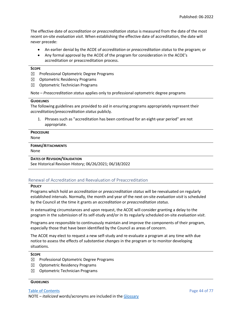The effective date of *accreditation* or *preaccreditation status* is measured from the date of the most recent on-site *evaluation visit*. When establishing the effective date of accreditation, the date will never precede:

- An earlier denial by the ACOE of *accreditation* or *preaccreditation status* to the program; or
- Any formal approval by the ACOE of the program for consideration in the ACOE's accreditation or preaccreditation process.

### **SCOPE**

- ☒ Professional Optometric Degree Programs
- ☒ Optometric Residency Programs
- ☒ Optometric Technician Programs

Note – *Preaccreditation status* applies only to professional optometric degree programs

### **GUIDELINES**

The following guidelines are provided to aid in ensuring programs appropriately represent their *accreditation/preaccreditation status* publicly.

1. Phrases such as "accreditation has been continued for an eight-year period" are not appropriate.

## **PROCEDURE**

None

## **FORMS/ATTACHMENTS**

None

## **DATES OF REVISION/VALIDATION**

See Historical Revision History; 06/26/2021; 06/18/2022

## Renewal of Accreditation and Reevaluation of Preaccreditation

### **POLICY**

Programs which hold an *accreditation* or *preaccreditation status* will be reevaluated on regularly established intervals. Normally, the month and year of the next on-site *evaluation visit* is scheduled by the Council at the time it grants an *accreditation* or *preaccreditation status*.

In extenuating circumstances and upon request, the ACOE will consider granting a delay to the program in the submission of its self-study and/or in its regularly scheduled on-site *evaluation visit*.

Programs are responsible to continuously maintain and improve the components of their program, especially those that have been identified by the Council as areas of concern.

The ACOE may elect to request a new self-study and re-evaluate a program at any time with due notice to assess the effects of *substantive changes* in the program or to monitor developing situations.

## **SCOPE**

- ☒ Professional Optometric Degree Programs
- ☒ Optometric Residency Programs
- ☒ Optometric Technician Programs

### **GUIDELINES**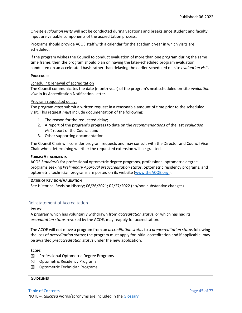On-site *evaluation visits* will not be conducted during vacations and breaks since student and faculty input are valuable components of the accreditation process.

Programs should provide ACOE staff with a calendar for the academic year in which visits are scheduled.

If the program wishes the Council to conduct evaluation of more than one program during the same time frame, then the program should plan on having the later-scheduled program evaluation conducted on an accelerated basis rather than delaying the earlier-scheduled on-site *evaluation visit*.

### **PROCEDURE**

## Scheduling renewal of accreditation

The Council communicates the date (month-year) of the program's next scheduled on-site *evaluation visit* in its Accreditation Notification Letter.

### Program-requested delays

The program *must* submit a written request in a reasonable amount of time prior to the scheduled visit. This request *must* include documentation of the following:

- 1. The reason for the requested delay;
- 2. A report of the program's progress to date on the *recommendations* of the last *evaluation visit* report of the Council; and
- 3. Other supporting documentation.

The Council Chair will consider program requests and may consult with the Director and Council Vice Chair when determining whether the requested extension will be granted.

## **FORMS/ATTACHMENTS**

ACOE *Standards* for professional optometric degree programs, professional optometric degree programs seeking *Preliminary Approval preaccreditation status*, optometric residency programs, and optometric technician programs are posted on its website [\(www.theACOE.org](http://www.theacoe.org/) ).

## **DATES OF REVISION/VALIDATION**

See Historical Revision History; 06/26/2021; 02/27/2022 (no/non-substantive changes)

## Reinstatement of Accreditation

### **POLICY**

A program which has voluntarily withdrawn from *accreditation status*, or which has had its *accreditation status* revoked by the ACOE, may reapply for accreditation.

The ACOE will not move a program from an *accreditation status* to a *preaccreditation status* following the loss of *accreditation status*; the program must apply for initial accreditation and if applicable, may be awarded *preaccreditation status* under the new application.

### **SCOPE**

- ☒ Professional Optometric Degree Programs
- $\boxtimes$  Optometric Residency Programs
- $\boxtimes$  Optometric Technician Programs

### **GUIDELINES**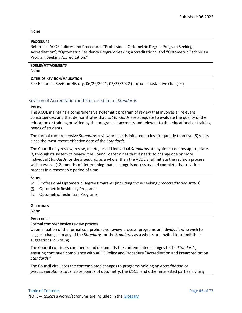None

### **PROCEDURE**

Reference ACOE Policies and Procedures "Professional Optometric Degree Program Seeking Accreditation", "Optometric Residency Program Seeking Accreditation", and "Optometric Technician Program Seeking Accreditation."

**FORMS/ATTACHMENTS** None

### **DATES OF REVISION/VALIDATION**

See Historical Revision History; 06/26/2021; 02/27/2022 (no/non-substantive changes)

## Revision of Accreditation and Preaccreditation *Standards*

### **POLICY**

The ACOE maintains a comprehensive systematic program of review that involves all relevant constituencies and that demonstrates that its *Standards* are adequate to evaluate the quality of the education or training provided by the programs it accredits and relevant to the educational or training needs of students.

The formal comprehensive *Standards* review process is initiated no less frequently than five (5) years since the most recent effective date of the *Standards*.

The Council may review, revise, delete, or add individual *Standards* at any time it deems appropriate. If, through its system of review, the Council determines that it needs to change one or more individual *Standards*, or the *Standards* as a whole, then the ACOE shall initiate the revision process within twelve (12) months of determining that a change is necessary and complete that revision process in a reasonable period of time.

### **SCOPE**

- ☒ Professional Optometric Degree Programs (including those seeking *preaccreditation status*)
- ☒ Optometric Residency Programs
- $\boxtimes$  Optometric Technician Programs

| <b>GUIDELINES</b> |  |
|-------------------|--|
| None              |  |

## **PROCEDURE**

Formal comprehensive review process

Upon initiation of the formal comprehensive review process, programs or individuals who wish to suggest changes to any of the *Standards*, or the *Standards* as a whole, are invited to submit their suggestions in writing.

The Council considers comments and documents the contemplated changes to the *Standards*, ensuring continued compliance with ACOE Policy and Procedure "Accreditation and Preaccreditation *Standards*."

The Council circulates the contemplated changes to programs holding an *accreditation* or *preaccreditation status*, state boards of optometry, the *USDE*, and other interested parties inviting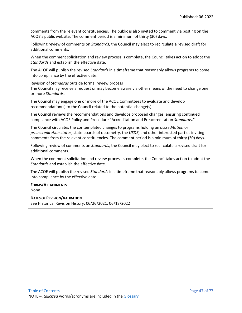comments from the relevant constituencies. The public is also invited to comment via posting on the ACOE's public website. The comment period is a minimum of thirty (30) days.

Following review of comments on *Standards*, the Council may elect to recirculate a revised draft for additional comments.

When the comment solicitation and review process is complete, the Council takes action to adopt the *Standards* and establish the effective date.

The ACOE will publish the revised *Standards* in a timeframe that reasonably allows programs to come into compliance by the effective date.

Revision of *Standards* outside formal review process

The Council may receive a request or may become aware via other means of the need to change one or more *Standards*.

The Council may engage one or more of the ACOE Committees to evaluate and develop recommendation(s) to the Council related to the potential change(s).

The Council reviews the recommendations and develops proposed changes, ensuring continued compliance with ACOE Policy and Procedure "Accreditation and Preaccreditation *Standards*."

The Council circulates the contemplated changes to programs holding an *accreditation* or *preaccreditation status*, state boards of optometry, the *USDE*, and other interested parties inviting comments from the relevant constituencies. The comment period is a minimum of thirty (30) days.

Following review of comments on *Standards*, the Council may elect to recirculate a revised draft for additional comments.

When the comment solicitation and review process is complete, the Council takes action to adopt the *Standards* and establish the effective date.

The ACOE will publish the revised *Standards* in a timeframe that reasonably allows programs to come into compliance by the effective date.

### **FORMS/ATTACHMENTS** None

## **DATES OF REVISION/VALIDATION**

See Historical Revision History; 06/26/2021; 06/18/2022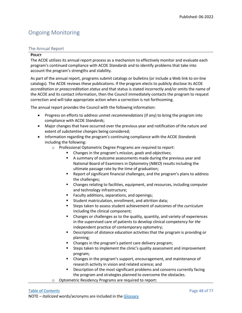# Ongoing Monitoring

## The Annual Report

## **POLICY**

The ACOE utilizes its annual report process as a mechanism to effectively monitor and evaluate each program's continued compliance with ACOE *Standards* and to identify problems that take into account the program's strengths and stability.

As part of the annual report, programs submit catalogs or bulletins (or include a Web link to on-line catalogs). The ACOE reviews these publications. If the program elects to publicly disclose its ACOE *accreditation* or *preaccreditation status* and that status is stated incorrectly and/or omits the name of the ACOE and its contact information, then the Council immediately contacts the program to request correction and will take appropriate action when a correction is not forthcoming.

The annual report provides the Council with the following information:

- Progress on efforts to address unmet *recommendations* (if any) to bring the program into compliance with ACOE *Standards*;
- Major changes that have occurred over the previous year and notification of the nature and extent of *substantive changes* being considered;
- Information regarding the program's continuing compliance with the ACOE *Standards* including the following:
	- o Professional Optometric Degree Programs are required to report:
		- Changes in the program's *mission*, *goals* and *objectives*;
		- A summary of outcome assessments made during the previous year and National Board of Examiners in Optometry (*NBEO*) results including the ultimate passage rate by the time of graduation;
		- Report of significant financial challenges, and the program's plans to address the challenges;
		- Changes relating to facilities, equipment, and resources, including computer and technology infrastructure;
		- **Faculty additions, separations, and openings;**
		- Student matriculation, enrollment, and attrition data;
		- Steps taken to assess student achievement of *outcomes* of the *curriculum* including the clinical component;
		- Changes or challenges as to the quality, quantity, and variety of experiences in the supervised care of patients to develop clinical competency for *the*  independent practice of contemporary optometry;
		- Description of *distance education* activities that the program is providing or planning;
		- Changes in the program's patient care delivery program;
		- Steps taken to implement the clinic's quality assessment and improvement program;
		- Changes in the program's support, encouragement, and maintenance of research activity in vision and related science; and
		- **Description of the most significant problems and concerns currently facing** the program and strategies planned to overcome the obstacles.
	- o Optometric Residency Programs are required to report: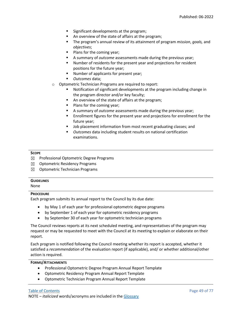- **Significant developments at the program;**
- An overview of the state of affairs at the program;
- The program's annual review of its attainment of program *mission*, *goals,* and *objectives*;
- Plans for the coming year;
- A summary of *outcome* assessments made during the previous year;
- Number of residents for the present year and projections for resident positions for the future year;
- **Number of applicants for present year;**
- *Outcomes* data;
- Optometric Technician Programs are required to report:
	- Notification of significant developments at the program including change in the program director and/or key faculty;
	- An overview of the state of affairs at the program;
	- **Plans for the coming year;**
	- A summary of *outcome* assessments made during the previous year;
	- **Enrollment figures for the present year and projections for enrollment for the** future year;
	- Job placement information from most recent graduating classes; and
	- *Outcomes* data including student results on national certification examinations.

## **SCOPE**

- ☒ Professional Optometric Degree Programs
- ☒ Optometric Residency Programs
- $\boxtimes$  Optometric Technician Programs

### **GUIDELINES**

None

## **PROCEDURE**

Each program submits its annual report to the Council by its due date:

- by May 1 of each year for professional optometric degree programs
- by September 1 of each year for optometric residency programs
- by September 30 of each year for optometric technician programs

The Council reviews reports at its next scheduled meeting, and representatives of the program may request or may be requested to meet with the Council at its meeting to explain or elaborate on their report.

Each program is notified following the Council meeting whether its report is accepted, whether it satisfied a *recommendation* of the evaluation report (if applicable), and/ or whether additional/other action is required.

## **FORMS/ATTACHMENTS**

- Professional Optometric Degree Program Annual Report Template
- Optometric Residency Program Annual Report Template
- Optometric Technician Program Annual Report Template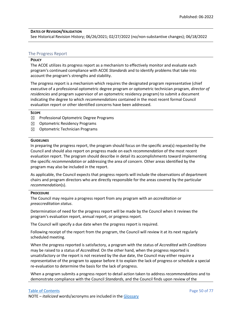## **DATES OF REVISION/VALIDATION**

See Historical Revision History; 06/26/2021; 02/27/2022 (no/non-substantive changes); 06/18/2022

## The Progress Report

### **POLICY**

The ACOE utilizes its progress report as a mechanism to effectively monitor and evaluate each program's continued compliance with ACOE *Standards* and to identify problems that take into account the program's strengths and stability.

The progress report is a mechanism which requires the designated program representative (chief executive of a professional optometric degree program or optometric technician program, *director of residencies* and program supervisor of an optometric residency program) to submit a document indicating the degree to which *recommendations* contained in the most recent formal Council evaluation report or other identified concerns have been addressed.

### **SCOPE**

- ☒ Professional Optometric Degree Programs
- ☒ Optometric Residency Programs
- $\boxtimes$  Optometric Technician Programs

### **GUIDELINES**

In preparing the progress report, the program should focus on the specific area(s) requested by the Council and should also report on progress made on each *recommendation* of the most recent evaluation report. The program should describe in detail its accomplishments toward implementing the specific *recommendation* or addressing the area of concern. Other areas identified by the program may also be included in the report.

As applicable, the Council expects that progress reports will include the observations of department chairs and program directors who are directly responsible for the areas covered by the particular *recommendation*(s).

### **PROCEDURE**

The Council may require a progress report from any program with an *accreditation* or *preaccreditation status*.

Determination of need for the progress report will be made by the Council when it reviews the program's evaluation report, annual report, or progress report.

The Council will specify a due date when the progress report is required.

Following receipt of the report from the program, the Council will review it at its next regularly scheduled meeting.

When the progress reported is satisfactory, a program with the status of *Accredited with Conditions* may be raised to a status of *Accredited*. On the other hand, when the progress reported is unsatisfactory or the report is not received by the due date, the Council may either require a representative of the program to appear before it to explain the lack of progress or schedule a special re-evaluation to determine the basis for the lack of progress.

When a program submits a progress report to detail action taken to address *recommendations* and to demonstrate compliance with the Council *Standards*, and the Council finds upon review of the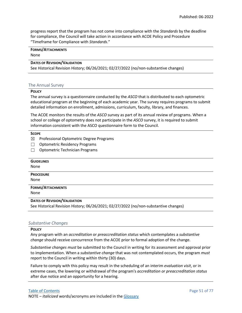progress report that the program has not come into compliance with the *Standards* by the deadline for compliance, the Council will take action in accordance with ACOE Policy and Procedure "Timeframe for Compliance with *Standards*."

# **FORMS/ATTACHMENTS**

None

## **DATES OF REVISION/VALIDATION**

See Historical Revision History; 06/26/2021; 02/27/2022 (no/non-substantive changes)

## The Annual Survey

## **POLICY**

The annual survey is a questionnaire conducted by the *ASCO* that is distributed to each optometric educational program at the beginning of each academic year. The survey requires programs to submit detailed information on enrollment, admissions, curriculum, faculty, library, and finances.

The ACOE monitors the results of the *ASCO* survey as part of its annual review of programs. When a school or college of optometry does not participate in the *ASCO* survey, it is required to submit information consistent with the ASCO questionnaire form to the Council.

## **SCOPE**

- ☒ Professional Optometric Degree Programs
- ☐ Optometric Residency Programs
- □ Optometric Technician Programs

| <b>GUIDELINES</b>                                                                    |
|--------------------------------------------------------------------------------------|
| None                                                                                 |
| <b>PROCEDURE</b>                                                                     |
| None                                                                                 |
| <b>FORMS/ATTACHMENTS</b>                                                             |
| None                                                                                 |
| <b>DATES OF REVISION/VALIDATION</b>                                                  |
| See Historical Revision History; 06/26/2021; 02/27/2022 (no/non-substantive changes) |

## *Substantive Changes*

## **POLICY**

Any program with an *accreditation* or *preaccreditation status* which contemplates a *substantive change* should receive concurrence from the ACOE prior to formal adoption of the change.

*Substantive changes must* be submitted to the Council in writing for its assessment and approval prior to implementation. When a *substantive change* that was not contemplated occurs, the program *must* report to the Council in writing within thirty (30) days.

Failure to comply with this policy may result in the scheduling of an interim *evaluation visit*, or in extreme cases, the lowering or withdrawal of the program's *accreditation or preaccreditation status* after due notice and an opportunity for a hearing.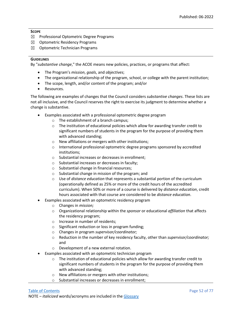## **SCOPE**

- ☒ Professional Optometric Degree Programs
- ☒ Optometric Residency Programs
- $\boxtimes$  Optometric Technician Programs

## **GUIDELINES**

By "*substantive change*," the ACOE means new policies, practices, or programs that affect:

- The Program's *mission*, *goals*, and *objectives*;
- The organizational relationship of the program, school, or college with the parent institution;
- The scope, length, and/or content of the program; and/or
- Resources.

The following are examples of changes that the Council considers *substantive changes*. These lists are not all inclusive, and the Council reserves the right to exercise its judgment to determine whether a change is substantive.

- Examples associated with a professional optometric degree program
	- o The establishment of a branch campus;
	- $\circ$  The institution of educational policies which allow for awarding transfer credit to significant numbers of students in the program for the purpose of providing them with advanced standing;
	- o New affiliations or mergers with other institutions;
	- o International professional optometric degree programs sponsored by accredited institutions;
	- o Substantial increases or decreases in enrollment;
	- o Substantial increases or decreases in faculty;
	- o Substantial change in financial resources;
	- o Substantial change in mission of the program; and
	- o Use of *distance education* that represents a substantial portion of the curriculum (operationally defined as 25% or more of the credit hours of the accredited curriculum). When 50% or more of a course is delivered by *distance education*, credit hours associated with that course are considered to be *distance education*.
- Examples associated with an optometric residency program
	- o Changes in *mission;*
	- o Organizational relationship within the *sponsor* or educational *affiliation* that affects the residency program;
	- o Increase in number of residents;
	- o Significant reduction or loss in program funding;
	- o Changes in program *supervisor/coordinator;*
	- o Reduction in the number of key residency faculty, other than *supervisor/coordinator;*  and
	- o Development of a new external rotation.
- Examples associated with an optometric technician program
	- $\circ$  The institution of educational policies which allow for awarding transfer credit to significant numbers of students in the program for the purpose of providing them with advanced standing;
	- o New affiliations or mergers with other institutions;
	- o Substantial increases or decreases in enrollment;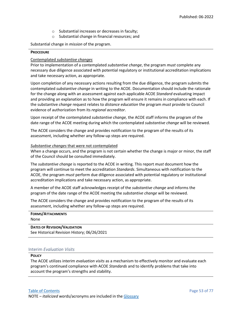- o Substantial increases or decreases in faculty;
- o Substantial change in financial resources; and

Substantial change in *mission* of the program.

## **PROCEDURE**

## Contemplated *substantive changes*

Prior to implementation of a contemplated *substantive change*, the program *must* complete any necessary due diligence associated with potential regulatory or institutional accreditation implications and take necessary action, as appropriate.

Upon completion of any necessary actions resulting from the due diligence, the program submits the contemplated *substantive change* in writing to the ACOE. Documentation should include the rationale for the change along with an assessment against each applicable ACOE *Standard* evaluating impact and providing an explanation as to how the program will ensure it remains in compliance with each. If the substantive *change* request relates to *distance education* the program *must* provide to Council evidence of authorization from its *regional accreditor*.

Upon receipt of the contemplated *substantive change,* the ACOE staff informs the program of the date range of the ACOE meeting during which the contemplated *substantive change* will be reviewed.

The ACOE considers the change and provides notification to the program of the results of its assessment, including whether any follow-up steps are required.

## *Substantive changes* that were not contemplated

When a change occurs, and the program is not certain whether the change is major or minor, the staff of the Council should be consulted immediately.

The *substantive change* is reported to the ACOE in writing. This report *must* document how the program will continue to meet the accreditation *Standards*. Simultaneous with notification to the ACOE, the program *must* perform due diligence associated with potential regulatory or institutional accreditation implications and take necessary action, as appropriate.

A member of the ACOE staff acknowledges receipt of the *substantive change* and informs the program of the date range of the ACOE meeting the *substantive change* will be reviewed.

The ACOE considers the change and provides notification to the program of the results of its assessment, including whether any follow-up steps are required.

## **FORMS/ATTACHMENTS** None

**DATES OF REVISION/VALIDATION** See Historical Revision History; 06/26/2021

## Interim *Evaluation Visits*

### **POLICY**

The ACOE utilizes interim *evaluation visits* as a mechanism to effectively monitor and evaluate each program's continued compliance with ACOE *Standards* and to identify problems that take into account the program's strengths and stability.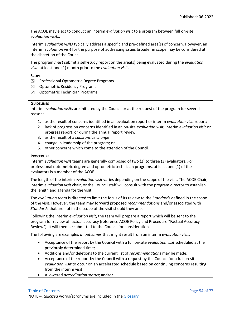The ACOE may elect to conduct an interim *evaluation visit* to a program between full on-site *evaluation visits*.

Interim *evaluation visits* typically address a specific and pre-defined area(s) of concern. However, an interim *evaluation visit* for the purpose of addressing issues broader in scope may be considered at the discretion of the Council.

The program *must* submit a self-study report on the area(s) being evaluated during the *evaluation visit*, at least one (1) month prior to the *evaluation visit*.

### **SCOPE**

- $\boxtimes$  Professional Optometric Degree Programs
- ☒ Optometric Residency Programs
- $\boxtimes$  Optometric Technician Programs

### **GUIDELINES**

Interim *evaluation visits* are initiated by the Council or at the request of the program for several reasons:

- 1. as the result of concerns identified in an evaluation report or interim *evaluation visit* report;
- 2. lack of progress on concerns identified in an on-site *evaluation visit*, interim *evaluation visit* or progress report, or during the annual report review;
- 3. as the result of a *substantive change*;
- 4. change in leadership of the program; or
- 5. other concerns which come to the attention of the Council.

## **PROCEDURE**

Interim *evaluation visit* teams are generally composed of two (2) to three (3) evaluators. *For*  professional optometric degree and optometric technician programs, at least one (1) of the evaluators is a member of the ACOE.

The length of the interim *evaluation visit* varies depending on the scope of the visit. The ACOE Chair, interim *evaluation visit* chair, or the Council staff will consult with the program director to establish the length and agenda for the visit.

The *evaluation team* is directed to limit the focus of its review to the *Standards* defined in the scope of the visit. However, the team may forward proposed *recommendations* and/or associated with *Standards* that are not in the scope of the visit should they arise.

Following the interim *evaluation visit*, the team will prepare a report which will be sent to the program for review of factual accuracy (reference ACOE Policy and Procedure "Factual Accuracy Review"). It will then be submitted to the Council for consideration.

The following are examples of *outcomes* that might result from an interim *evaluation visit*:

- Acceptance of the report by the Council with a full on-site *evaluation visit* scheduled at the previously determined time;
- Additions and/or deletions to the current list of *recommendations* may be made;
- Acceptance of the report by the Council with a request by the Council for a full on-site *evaluation visit* to occur on an accelerated schedule based on continuing concerns resulting from the interim visit;
- A lowered *accreditation status*; and/or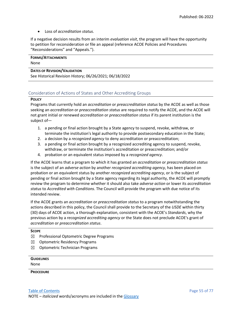• Loss of *accreditation status*.

If a negative decision results from an interim *evaluation visit*, the program will have the opportunity to petition for reconsideration or file an appeal (reference ACOE Policies and Procedures "Reconsiderations" and "Appeals.").

## **FORMS/ATTACHMENTS** None

**DATES OF REVISION/VALIDATION** See Historical Revision History; 06/26/2021; 06/18/2022

## Consideration of Actions of States and Other Accrediting Groups

## **POLICY**

Programs that currently hold an *accreditation* or *preaccreditation status* by the ACOE as well as those seeking an *accreditation* or *preaccreditation status* are required to notify the ACOE, and the ACOE will not grant initial or renewed *accreditation* or *preaccreditation status* if its parent institution is the subject of—

- 1. a pending or final action brought by a State agency to suspend, revoke, withdraw, or terminate the institution's legal authority to provide postsecondary education in the State;
- 2. a decision by a *recognized agency* to deny accreditation or preaccreditation;
- 3. a pending or final action brought by a recognized accrediting agency to suspend, revoke, withdraw, or terminate the institution's accreditation or preaccreditation; and/or
- 4. probation or an equivalent status imposed by a *recognized agency*.

If the ACOE learns that a program to which it has granted an *accreditation* or *preaccreditation status* is the subject of an *adverse action* by another *recognized accrediting agency*, has been placed on probation or an equivalent status by another *recognized accrediting agency*, or is the subject of pending or final action brought by a State agency regarding its legal authority, the ACOE will promptly review the program to determine whether it should also take *adverse action* or lower its *accreditation status* to *Accredited with Conditions*. The Council will provide the program with due notice of its intended review.

If the ACOE grants an *accreditation* or *preaccreditation status* to a program notwithstanding the actions described in this policy, the Council shall provide to the Secretary of the *USDE* within thirty (30) days of ACOE action, a thorough explanation, consistent with the ACOE's *Standards*, why the previous action by a *recognized accrediting agency* or the State does not preclude ACOE's grant of *accreditation* or *preaccreditation status*.

## **SCOPE**

- ☒ Professional Optometric Degree Programs
- $\boxtimes$  Optometric Residency Programs
- ☒ Optometric Technician Programs

| None | <b>GUIDELINES</b> |  |  |  |
|------|-------------------|--|--|--|
|      |                   |  |  |  |

## **PROCEDURE**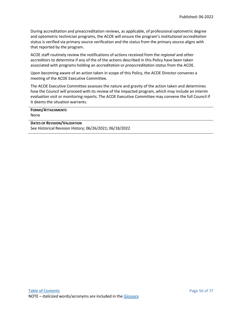During accreditation and preaccreditation reviews, as applicable, of professional optometric degree and optometric technician programs, the ACOE will ensure the program's *institutional accreditation* status is verified via primary source verification and the status from the primary source aligns with that reported by the program.

ACOE staff routinely review the notifications of actions received from the *regional* and other accreditors to determine if any of the of the actions described in this Policy have been taken associated with programs holding an *accreditation* or *preaccreditation status* from the ACOE.

Upon becoming aware of an action taken in scope of this Policy, the ACOE Director convenes a meeting of the ACOE Executive Committee.

The ACOE Executive Committee assesses the nature and gravity of the action taken and determines how the Council will proceed with its review of the impacted program, which may include an interim *evaluation visit* or monitoring reports. The ACOE Executive Committee may convene the full Council if it deems the situation warrants.

| <b>FORMS/ATTACHMENTS</b> |
|--------------------------|
| None                     |

**DATES OF REVISION/VALIDATION** See Historical Revision History; 06/26/2021; 06/18/2022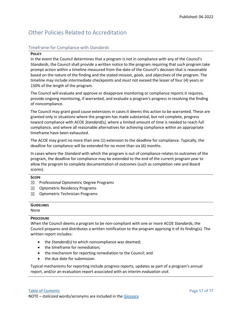# Other Policies Related to Accreditation

## Timeframe for Compliance with *Standards*

### **POLICY**

In the event the Council determines that a program is not in compliance with any of the Council's *Standards*, the Council shall provide a written notice to the program requiring that such program take prompt action within a timeline measured from the date of the Council's decision that is reasonable based on the nature of the finding and the stated *mission*, *goals*, and *objectives* of the program. The timeline may include intermediate checkpoints and *must* not exceed the lesser of four (4) years or 150% of the length of the program.

The Council will evaluate and approve or disapprove monitoring or compliance reports it requires, provide ongoing monitoring, if warranted, and evaluate a program's progress in resolving the finding of noncompliance.

The Council may grant good cause extensions in cases it deems this action to be warranted. These are granted only in situations where the program has made substantial, but not complete, progress toward compliance with ACOE *Standard(s),* where a limited amount of time is needed to reach full compliance, and where all reasonable alternatives for achieving compliance within an appropriate timeframe have been exhausted.

The ACOE may grant no more than one (1) extension to the deadline for compliance. Typically, the deadline for compliance will be extended for no more than six (6) months.

In cases where the *Standard* with which the program is out of compliance relates to *outcomes* of the program, the deadline for compliance may be extended to the end of the current program year to allow the program to complete documentation of *outcomes* (such as completion rate and Board scores).

## **SCOPE**

- $\boxtimes$  Professional Optometric Degree Programs
- ☒ Optometric Residency Programs
- ☒ Optometric Technician Programs

| <b>GUIDELINES</b> |  |  |
|-------------------|--|--|
| None              |  |  |

## **PROCEDURE**

When the Council deems a program to be non-compliant with one or more ACOE *Standards*, the Council prepares and distributes a written notification to the program apprising it of its finding(s). The written report includes:

- the *Standard(s)* to which noncompliance was deemed;
- the timeframe for remediation;
- the mechanism for reporting remediation to the Council; and
- the due date for submission.

Typical mechanisms for reporting include progress reports, updates as part of a program's annual report, and/or an evaluation report associated with an interim *evaluation visit*.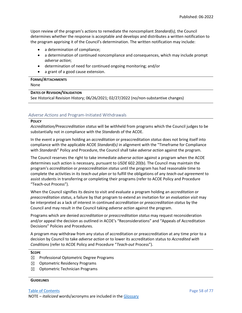Upon review of the program's actions to remediate the noncompliant *Standard(s),* the Council determines whether the response is acceptable and develops and distributes a written notification to the program apprising it of the Council's determination. The written notification may include:

- a determination of compliance;
- a determination of continued noncompliance and consequences, which may include prompt *adverse action*;
- determination of need for continued ongoing monitoring; and/or
- a grant of a good cause extension.

### **FORMS/ATTACHMENTS** None

## **DATES OF REVISION/VALIDATION**

See Historical Revision History; 06/26/2021; 02/27/2022 (no/non-substantive changes)

## *Adverse Actions* and Program-Initiated Withdrawals

## **POLICY**

*Accreditation/Preaccreditation status* will be withheld from programs which the Council judges to be substantially not in compliance with the *Standards* of the ACOE.

In the event a program holding an *accreditation* or preaccreditation *status* does not bring itself into compliance with the applicable ACOE *Standard(s)* in alignment with the "Timeframe for Compliance with *Standards*" Policy and Procedure, the Council shall take *adverse action* against the program.

The Council reserves the right to take immediate *adverse action* against a program when the ACOE determines such action is necessary, pursuant to *USDE* 602.20(b). The Council may maintain the program's *accreditation* or *preaccreditation status* until the program has had reasonable time to complete the activities in its *teach-out plan* or to fulfill the obligations of any *teach-out agreement* to assist students in transferring or completing their programs (refer to ACOE Policy and Procedure "Teach-out Process").

When the Council signifies its desire to visit and evaluate a program holding an *accreditation* or *preaccreditation status*, a failure by that program to extend an invitation for an *evaluation visit* may be interpreted as a lack of interest in continued *accreditation* or *preaccreditation status* by the Council and may result in the Council taking *adverse action* against the program.

Programs which are denied *accreditation* or *preaccreditation status* may request reconsideration and/or appeal the decision as outlined in ACOE's "Reconsiderations" and "Appeals of Accreditation Decisions" Policies and Procedures.

A program may withdraw from any status of accreditation or preaccreditation at any time prior to a decision by Council to take *adverse action* or to lower its accreditation status to *Accredited with Conditions* (refer to ACOE Policy and Procedure "*Teach-out* Process").

## **SCOPE**

- ☒ Professional Optometric Degree Programs
- $\boxtimes$  Optometric Residency Programs
- $\boxtimes$  Optometric Technician Programs

## **GUIDELINES**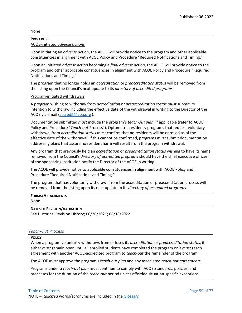## None

## **PROCEDURE** ACOE-initiated *adverse actions*

Upon initiating an *adverse action*, the ACOE will provide notice to the program and other applicable constituencies in alignment with ACOE Policy and Procedure "Required Notifications and Timing."

Upon an initiated *adverse action* becoming a *final adverse action*, the ACOE will provide notice to the program and other applicable constituencies in alignment with ACOE Policy and Procedure "Required Notifications and Timing."

The program that no longer holds an *accreditation* or *preaccreditation status* will be removed from the listing upon the Council's next update to its *directory of accredited programs*.

## Program-initiated withdrawals

A program wishing to withdraw from *accreditation* or *preaccreditation status must* submit its intention to withdraw including the effective date of the withdrawal in writing to the Director of the ACOE via email [\(accredit@aoa.org](mailto:accredit@aoa.org) ).

Documentation submitted *must* include the program's *teach-out plan*, if applicable (refer to ACOE Policy and Procedure "*Teach-out* Process"). Optometric residency programs that request voluntary withdrawal from *accreditation status must* confirm that no residents will be enrolled as of the effective date of the withdrawal; if this cannot be confirmed, programs *must* submit documentation addressing plans that assure no resident harm will result from the program withdrawal.

Any program that previously held an *accreditation* or *preaccreditation status* wishing to have its name removed from the Council's *directory of accredited programs* should have the chief executive officer of the sponsoring institution notify the Director of the ACOE in writing.

The ACOE will provide notice to applicable constituencies in alignment with ACOE Policy and Procedure "Required Notifications and Timing."

The program that has voluntarily withdrawn from the accreditation or preaccreditation process will be removed from the listing upon its next update to its *directory of accredited programs.*

## **FORMS/ATTACHMENTS**

None

## **DATES OF REVISION/VALIDATION**

See Historical Revision History; 06/26/2021; 06/18/2022

## *Teach-Out* Process

## **POLICY**

When a program voluntarily withdraws from or loses its *accreditation* or *preaccreditation status*, it either *must* remain open until all enrolled students have completed the program or it *must* reach agreement with another ACOE-accredited program to *teach-out* the remainder of the program.

The ACOE *must* approve the program's *teach-out plan* and any associated *teach-out agreements*.

Programs under a *teach-out plan* must continue to comply with ACOE Standards, policies, and processes for the duration of the *teach-out* period unless afforded situation-specific exceptions.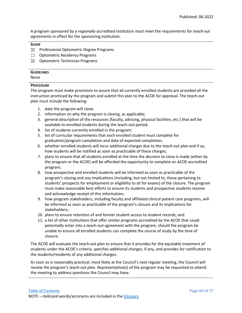A program sponsored by a *regionally accredited* institution *must* meet the requirements for *teach-out agreements* in effect for the sponsoring institution.

## **SCOPE**

- ☒ Professional Optometric Degree Programs
- ☐ Optometric Residency Programs
- $\boxtimes$  Optometric Technician Programs

## **GUIDELINES**

None

## **PROCEDURE**

The program must make provisions to assure that all currently enrolled students are provided all the instruction promised by the program and submit this plan to the ACOE for approval. The *teach-out plan* must include the following:

- 1. date the program will close;
- 2. information on why the program is closing, as applicable;
- 3. general description of the resources (faculty, advising, physical facilities, etc.) that will be available to enrolled students during the teach-out period;
- 4. list of students currently enrolled in the program;
- 5. list of curricular requirements that each enrolled student must complete for graduation/program completion and date of expected completion;
- 6. whether enrolled students will incur additional charges due to the *teach-out plan* and if so, how students will be notified as soon as practicable of these charges;
- 7. plans to ensure that all students enrolled at the time the decision to close is made (either by the program or the ACOE) will be afforded the opportunity to complete an ACOE-accredited program;
- 8. how prospective and enrolled students will be informed as soon as practicable of the program's closing and any implications (including, but not limited to, those pertaining to students' prospects for employment or eligibility to sit for exams) of the closure. The program must make reasonable best efforts to ensure its students and prospective students receive and acknowledge receipt of this information;
- 9. how program stakeholders, including faculty and affiliated clinical patient care programs, will be informed as soon as practicable of the program's closure and its implications for stakeholders;
- 10. plans to ensure retention of and former student access to student records; and
- 11. a list of other institutions that offer similar programs accredited by the ACOE that could potentially enter into a teach-out agreement with the program, should the program be unable to ensure all enrolled students can complete the course of study by the time of closure.

The ACOE will evaluate the *teach-out plan* to ensure that it provides for the equitable treatment of students under the ACOE's criteria, specifies additional charges, if any, and provides for notification to the students/residents of any additional charges.

As soon as is reasonably practical, most likely at the Council's next regular meeting, the Council will review the program's *teach-out plan.* Representative(s) of the program may be requested to attend the meeting to address questions the Council may have.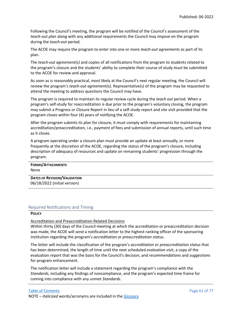Following the Council's meeting, the program will be notified of the Council's assessment of the *teach-out plan* along with any additional requirements the Council may impose on the program during the *teach-out* period.

The ACOE may require the program to enter into one or more *teach-out agreements* as part of its plan.

The *teach-out agreement(s)* and copies of all notifications from the program to students related to the program's closure and the students' ability to complete their course of study *must* be submitted to the ACOE for review and approval.

As soon as is reasonably practical, most likely at the Council's next regular meeting, the Council will review the program's *teach-out agreement(s).* Representative(s) of the program may be requested to attend the meeting to address questions the Council may have.

The program is required to maintain its regular review cycle during the *teach out* period. When a program's self-study for reaccreditation is due prior to the program's voluntary closing, the program may submit a Progress or Closure Report in lieu of a self-study report and site visit provided that the program closes within four (4) years of notifying the ACOE.

After the program submits its plan for closure, it must comply with requirements for maintaining accreditation/preaccreditation, i.e., payment of fees and submission of annual reports, until such time as it closes.

A program operating under a closure plan must provide an update at least annually, or more frequently at the discretion of the ACOE, regarding the status of the program's closure, including description of adequacy of resources and update on remaining students' progression through the program.

| <b>FORMS/ATTACHMENTS</b>            |
|-------------------------------------|
|                                     |
| None                                |
|                                     |
| <b>DATES OF REVISION/VALIDATION</b> |
| 06/18/2022 (initial version)        |

## Required Notifications and Timing

### **POLICY**

### Accreditation and Preaccreditation-Related Decisions

Within thirty (30) days of the Council meeting at which the accreditation or preaccreditation decision was made, the ACOE will send a notification letter to the highest-ranking officer of the sponsoring institution regarding the program's *accreditation* or *preaccreditation status*.

The letter will include the classification of the program's *accreditation* or *preaccreditation status* that has been determined, the length of time until the next scheduled *evaluation visit*, a copy of the evaluation report that was the basis for the Council's decision, and *recommendations* and *suggestions* for program enhancement.

The notification letter will include a statement regarding the program's compliance with the *Standards*, including any findings of noncompliance, and the program's expected time frame for coming into compliance with any unmet *Standards*.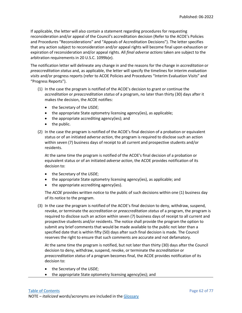If applicable, the letter will also contain a statement regarding procedures for requesting reconsideration and/or appeal of the Council's accreditation decision (Refer to the ACOE's Policies and Procedures "Reconsiderations" and "Appeals of Accreditation Decisions"). The letter specifies that any action subject to reconsideration and/or appeal rights will become final upon exhaustion or expiration of reconsideration and/or appeal rights. All *final adverse actions* taken are subject to the arbitration requirements in 20 U.S.C. 1099b(e).

The notification letter will delineate any change in and the reasons for the change in *accreditation* or *preaccreditation status* and, as applicable, the letter will specify the timelines for interim *evaluation visits* and/or progress reports (refer to ACOE Policies and Procedures "Interim Evaluation Visits" and "Progress Reports").

- (1) In the case the program is notified of the ACOE's decision to grant or continue the *accreditation* or *preaccreditation status* of a program, no later than thirty (30) days after it makes the decision, the ACOE notifies:
	- the Secretary of the *USDE*;
	- the appropriate State optometry licensing agency(ies), as applicable;
	- the appropriate accrediting agency(ies); and
	- the public.
- (2) In the case the program is notified of the ACOE's final decision of a probation or equivalent status or of an initiated *adverse action*, the program is required to disclose such an action within seven (7) business days of receipt to all current and prospective students and/or residents.

At the same time the program is notified of the ACOE's final decision of a probation or equivalent status or of an initiated *adverse action*, the ACOE provides notification of its decision to:

- the Secretary of the *USDE*;
- the appropriate State optometry licensing agency(ies), as applicable; and
- the appropriate accrediting agency(ies).

The *ACOE* provides written notice to the public of such decisions within one (1) business day of its notice to the program.

(3) In the case the program is notified of the ACOE's final decision to deny, withdraw, suspend, revoke, or terminate the *accreditation* or *preaccreditation status* of a program, the program is required to disclose such an action within seven (7) business days of receipt to all current and prospective students and/or residents. The notice shall provide the program the option to submit any brief comments that would be made available to the public not later than a specified date that is within fifty (50) days after such final decision is made. The Council reserves the right to ensure that such comments are accurate and not defamatory.

At the same time the program is notified, but not later than thirty (30) days after the Council decision to deny, withdraw, suspend, revoke, or terminate the *accreditation* or *preaccreditation status* of a program becomes final, the ACOE provides notification of its decision to:

- the Secretary of the *USDE*;
- the appropriate State optometry licensing agency(ies); and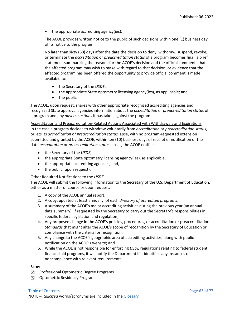• the appropriate accrediting agency(ies).

The ACOE provides written notice to the public of such decisions within one (1) business day of its notice to the program.

No later than sixty (60) days after the date the decision to deny, withdraw, suspend, revoke, or terminate the *accreditation* or *preaccreditation status* of a program becomes final, a brief statement summarizing the reasons for the ACOE's decision and the official comments that the affected program may wish to make with regard to that decision, or evidence that the affected program has been offered the opportunity to provide official comment is made available to:

- the Secretary of the *USDE*;
- the appropriate State optometry licensing agency(ies), as applicable; and
- the public.

The ACOE, upon request, shares with other appropriate recognized accrediting agencies and recognized State approval agencies information about the *accreditation* or *preaccreditation status* of a program and any *adverse actions* it has taken against the program.

Accreditation and Preaccreditation-Related Actions Associated with Withdrawals and Expirations In the case a program decides to withdraw voluntarily from *accreditation* or *preaccreditation status*, or lets its *accreditation* or *preaccreditation status* lapse, with no program-requested extension submitted and granted by the ACOE, within ten (10) business days of receipt of notification or the date *accreditation* or *preaccreditation status* lapses, the ACOE notifies:

- the Secretary of the *USDE*,
- the appropriate State optometry licensing agency(ies), as applicable,
- the appropriate accrediting agencies, and,
- the public (upon request).

## Other Required Notifications to the *USDE*

The ACOE will submit the following information to the Secretary of the U.S. Department of Education, either as a matter of course or upon request:

- 1. A copy of the ACOE annual report;
- 2. A copy, updated at least annually, of each *directory of accredited programs*;
- 3. A summary of the ACOE's major accrediting activities during the previous year (an annual data summary), if requested by the Secretary to carry out the Secretary's responsibilities in specific federal legislation and regulation;
- 4. Any proposed change in the ACOE's policies, procedures, or accreditation or preaccreditation *Standards* that might alter the ACOE's scope of recognition by the Secretary of Education or compliance with the criteria for recognition;
- 5. Any change to the ACOE's geographic area of accrediting activities, along with public notification on the ACOE's website; and
- 6. While the ACOE is not responsible for enforcing *USDE* regulations relating to federal student financial aid programs, it will notify the Department if it identifies any instances of noncompliance with relevant requirements.

## **SCOPE**

- $\boxtimes$  Professional Optometric Degree Programs
- ☒ Optometric Residency Programs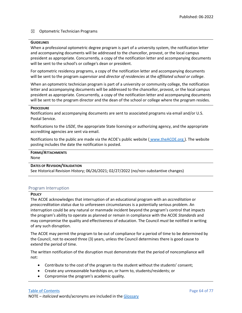## $\boxtimes$  Optometric Technician Programs

### **GUIDELINES**

When a professional optometric degree program is part of a university system, the notification letter and accompanying documents will be addressed to the chancellor, provost, or the local campus president as appropriate. Concurrently, a copy of the notification letter and accompanying documents will be sent to the school's or college's dean or president.

For optometric residency programs, a copy of the notification letter and accompanying documents will be sent to the program *supervisor* and *director of residencies* at the *affiliated school or college*.

When an optometric technician program is part of a university or community college, the notification letter and accompanying documents will be addressed to the chancellor, provost, or the local campus president as appropriate. Concurrently, a copy of the notification letter and accompanying documents will be sent to the program director and the dean of the school or college where the program resides.

### **PROCEDURE**

Notifications and accompanying documents are sent to associated programs via email and/or U.S. Postal Service.

Notifications to the *USDE*, the appropriate State licensing or authorizing agency, and the appropriate accrediting agencies are sent via email.

Notifications to the public are made via the ACOE's public website ( [www.theACOE.org](http://www.theacoe.org/) ). The website posting includes the date the notification is posted.

# **FORMS/ATTACHMENTS**

None

## **DATES OF REVISION/VALIDATION**

See Historical Revision History; 06/26/2021; 02/27/2022 (no/non-substantive changes)

## Program Interruption

### **POLICY**

The ACOE acknowledges that interruption of an educational program with an *accreditation* or *preaccreditation status* due to unforeseen circumstances is a potentially serious problem. An interruption could be any natural or manmade incident beyond the program's control that impacts the program's ability to operate as planned or remain in compliance with the ACOE *Standards* and may compromise the quality and effectiveness of education. The Council *must* be notified in writing of any such disruption.

The ACOE may permit the program to be out of compliance for a period of time to be determined by the Council, not to exceed three (3) years, unless the Council determines there is good cause to extend the period of time.

The written notification of the disruption must demonstrate that the period of noncompliance will not:

- Contribute to the cost of the program to the student without the students' consent;
- Create any unreasonable hardships on, or harm to, students/residents; or
- Compromise the program's academic quality.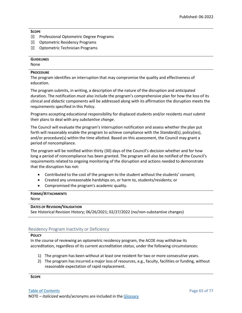## **SCOPE**

- ☒ Professional Optometric Degree Programs
- ☒ Optometric Residency Programs
- ☒ Optometric Technician Programs

## **GUIDELINES**

None

## **PROCEDURE**

The program identifies an interruption that may compromise the quality and effectiveness of education.

The program submits, in writing, a description of the nature of the disruption and anticipated duration. The notification *must* also include the program's comprehensive plan for how the loss of its clinical and *didactic* components will be addressed along with its affirmation the disruption meets the requirements specified in this Policy.

Programs accepting educational responsibility for displaced students and/or residents *must* submit their plans to deal with any *substantive change*.

The Council will evaluate the program's interruption notification and assess whether the plan put forth will reasonably enable the program to achieve compliance with the *Standard(s)*, policy(ies), and/or procedure(s) within the time allotted. Based on this assessment, the Council may grant a period of noncompliance.

The program will be notified within thirty (30) days of the Council's decision whether and for how long a period of noncompliance has been granted. The program will also be notified of the Council's requirements related to ongoing monitoring of the disruption and actions needed to demonstrate that the disruption has not:

- Contributed to the cost of the program to the student without the students' consent;
- Created any unreasonable hardships on, or harm to, students/residents; or
- Compromised the program's academic quality.

## **FORMS/ATTACHMENTS**

None

## **DATES OF REVISION/VALIDATION**

See Historical Revision History; 06/26/2021; 02/27/2022 (no/non-substantive changes)

## Residency Program Inactivity or Deficiency

## **POLICY**

In the course of reviewing an optometric residency program, the ACOE may withdraw its accreditation, regardless of its current *accreditation status*, under the following circumstances:

- 1) The program has been without at least one resident for two or more consecutive years.
- 2) The program has incurred a major loss of resources, e.g., faculty, facilities or funding, without reasonable expectation of rapid replacement.

**SCOPE**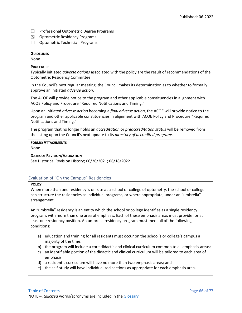- ☐ Professional Optometric Degree Programs
- ☒ Optometric Residency Programs
- ☐ Optometric Technician Programs

## **GUIDELINES**

None

## **PROCEDURE**

Typically initiated *adverse actions* associated with the policy are the result of recommendations of the Optometric Residency Committee.

In the Council's next regular meeting, the Council makes its determination as to whether to formally approve an initiated *adverse action*.

The ACOE will provide notice to the program and other applicable constituencies in alignment with ACOE Policy and Procedure "Required Notifications and Timing."

Upon an initiated *adverse action* becoming a *final adverse action*, the ACOE will provide notice to the program and other applicable constituencies in alignment with ACOE Policy and Procedure "Required Notifications and Timing."

The program that no longer holds an *accreditation* or *preaccreditation status* will be removed from the listing upon the Council's next update to its *directory of accredited programs*.

# **FORMS/ATTACHMENTS**

None

## **DATES OF REVISION/VALIDATION**

See Historical Revision History; 06/26/2021; 06/18/2022

## Evaluation of "On the Campus" Residencies

## **POLICY**

When more than one residency is on-site at a school or college of optometry, the school or college can structure the residencies as individual programs, or where appropriate, under an "umbrella" arrangement.

An "umbrella" residency is an entity which the school or college identifies as a single residency program, with more than one area of emphasis. Each of these emphasis areas must provide for at least one residency position. An umbrella residency program must meet all of the following conditions:

- a) education and training for all residents must occur on the school's or college's campus a majority of the time;
- b) the program will include a core didactic and clinical curriculum common to all emphasis areas;
- c) an identifiable portion of the didactic and clinical curriculum will be tailored to each area of emphasis;
- d) a resident's curriculum will have no more than two emphasis areas; and
- e) the self-study will have individualized sections as appropriate for each emphasis area.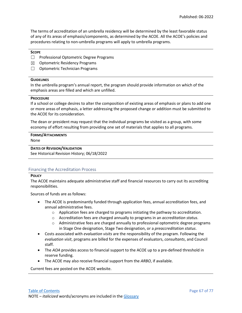The terms of accreditation of an umbrella residency will be determined by the least favorable status of any of its areas of emphasis/components, as determined by the ACOE. All the ACOE's policies and procedures relating to non-umbrella programs will apply to umbrella programs.

## **SCOPE**

- ☐ Professional Optometric Degree Programs
- $\boxtimes$  Optometric Residency Programs
- □ Optometric Technician Programs

## **GUIDELINES**

In the umbrella program's annual report, the program should provide information on which of the emphasis areas are filled and which are unfilled.

### **PROCEDURE**

If a school or college desires to alter the composition of existing areas of emphasis or plans to add one or more areas of emphasis, a letter addressing the proposed change or addition must be submitted to the ACOE for its consideration.

The dean or president may request that the individual programs be visited as a group, with some economy of effort resulting from providing one set of materials that applies to all programs.

### **FORMS/ATTACHMENTS** None

**DATES OF REVISION/VALIDATION**

See Historical Revision History; 06/18/2022

## Financing the Accreditation Process

## **POLICY**

The ACOE maintains adequate administrative staff and financial resources to carry out its accrediting responsibilities.

Sources of funds are as follows:

- The ACOE is predominantly funded through application fees, annual accreditation fees, and annual administrative fees.
	- $\circ$  Application fees are charged to programs initiating the pathway to accreditation.
	- o Accreditation fees are charged annually to programs in an *accreditation status*.
	- $\circ$  Administrative fees are charged annually to professional optometric degree programs in Stage One designation, Stage Two designation, or a *preaccreditation status*.
- Costs associated with *evaluation visits* are the responsibility of the program. Following the *evaluation visit*, programs are billed for the expenses of evaluators, *consultants*, and Council staff.
- The *AOA* provides access to financial support to the ACOE up to a pre-defined threshold in reserve funding.
- The ACOE may also receive financial support from the *ARBO*, if available.

Current fees are posted on the ACOE website.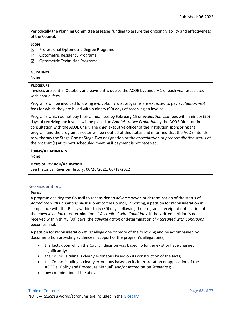Periodically the Planning Committee assesses funding to assure the ongoing viability and effectiveness of the Council.

## **SCOPE**

- ☒ Professional Optometric Degree Programs
- $\boxtimes$  Optometric Residency Programs
- $\boxtimes$  Optometric Technician Programs

## **GUIDELINES**

None

## **PROCEDURE**

Invoices are sent in October, and payment is due to the ACOE by January 1 of each year associated with annual fees.

Programs will be invoiced following *evaluation visits*; programs are expected to pay *evaluation visit* fees for which they are billed within ninety (90) days of receiving an invoice.

Programs which do not pay their annual fees by February 15 or *evaluation visit* fees within ninety (90) days of receiving the invoice will be placed on *Administrative Probation* by the ACOE Director, in consultation with the ACOE Chair. The chief executive officer of the institution sponsoring the program and the program director will be notified of this status and informed that the ACOE intends to withdraw the Stage One or Stage Two designation or the *accreditation* or *preaccreditation status* of the program(s) at its next scheduled meeting if payment is not received.

## **FORMS/ATTACHMENTS**

None

## **DATES OF REVISION/VALIDATION**

See Historical Revision History; 06/26/2021; 06/18/2022

## Reconsiderations

## **POLICY**

A program desiring the Council to reconsider an *adverse action* or determination of the status of *Accredited with Conditions must* submit to the Council, in writing, a petition for reconsideration in compliance with this Policy within thirty (30) days following the program's receipt of notification of the *adverse action* or determination of *Accredited with Conditions*. If the written petition is not received within thirty (30) days, the *adverse action* or determination of *Accredited with Conditions* becomes final.

A petition for reconsideration *must* allege one or more of the following and be accompanied by documentation providing evidence in support of the program's allegation(s):

- the facts upon which the Council decision was based no longer exist or have changed significantly;
- the Council's ruling is clearly erroneous based on its construction of the facts;
- the Council's ruling is clearly erroneous based on its interpretation or application of the ACOE's "Policy and Procedure Manual" and/or accreditation *Standards*;
- any combination of the above.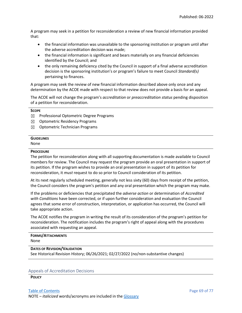A program may seek in a petition for reconsideration a review of new financial information provided that:

- the financial information was unavailable to the sponsoring institution or program until after the adverse accreditation decision was made;
- the financial information is significant and bears materially on any financial deficiencies identified by the Council; and
- the only remaining deficiency cited by the Council in support of a final adverse accreditation decision is the sponsoring institution's or program's failure to meet Council *Standard(s)* pertaining to finances.

A program may seek the review of new financial information described above only once and any determination by the ACOE made with respect to that review does not provide a basis for an appeal.

The ACOE will not change the program's *accreditation* or *preaccreditation status* pending disposition of a petition for reconsideration.

## **SCOPE**

- ☒ Professional Optometric Degree Programs
- ☒ Optometric Residency Programs
- $\boxtimes$  Optometric Technician Programs

## **GUIDELINES**

None

### **PROCEDURE**

The petition for reconsideration along with all supporting documentation is made available to Council members for review. The Council may request the program provide an oral presentation in support of its petition. If the program wishes to provide an oral presentation in support of its petition for reconsideration, it *must* request to do so prior to Council consideration of its petition.

At its next regularly scheduled meeting, generally not less sixty (60) days from receipt of the petition, the Council considers the program's petition and any oral presentation which the program may make.

If the problems or deficiencies that precipitated the *adverse action* or determination of *Accredited with Conditions* have been corrected, or if upon further consideration and evaluation the Council agrees that some error of construction, interpretation, or application has occurred, the Council will take appropriate action.

The ACOE notifies the program in writing the result of its consideration of the program's petition for reconsideration. The notification includes the program's right of appeal along with the procedures associated with requesting an appeal.

# **FORMS/ATTACHMENTS**

None

## **DATES OF REVISION/VALIDATION**

See Historical Revision History; 06/26/2021; 02/27/2022 (no/non-substantive changes)

## Appeals of Accreditation Decisions

**POLICY**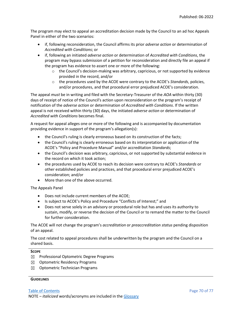The program may elect to appeal an accreditation decision made by the Council to an ad hoc Appeals Panel in either of the two scenarios:

- if, following reconsideration, the Council affirms its prior *adverse action* or determination of *Accredited with Conditions*; or
- if, following an initiated *adverse action* or determination of *Accredited with Conditions*, the program may bypass submission of a petition for reconsideration and directly file an appeal if the program has evidence to assert one or more of the following:
	- $\circ$  the Council's decision-making was arbitrary, capricious, or not supported by evidence provided in the record, and/or
	- o the procedures used by the ACOE were contrary to the ACOE's *Standards*, policies, and/or procedures, and that procedural error prejudiced ACOE's consideration.

The appeal *must* be in writing and filed with the Secretary-Treasurer of the *AOA* within thirty (30) days of receipt of notice of the Council's action upon reconsideration or the program's receipt of notification of the *adverse action* or determination of *Accredited with Conditions*. If the written appeal is not received within thirty (30) days, the initiated *adverse action* or determination of *Accredited with Conditions* becomes final.

A request for appeal alleges one or more of the following and is accompanied by documentation providing evidence in support of the program's allegation(s):

- the Council's ruling is clearly erroneous based on its construction of the facts;
- the Council's ruling is clearly erroneous based on its interpretation or application of the ACOE's "Policy and Procedure Manual" and/or accreditation *Standards*;
- the Council's decision was arbitrary, capricious, or not supported by substantial evidence in the record on which it took action;
- the procedures used by ACOE to reach its decision were contrary to ACOE's *Standards* or other established policies and practices, and that procedural error prejudiced ACOE's consideration; and/or
- More than one of the above occurred.

The Appeals Panel

- Does not include current members of the ACOE;
- Is subject to ACOE's Policy and Procedure "Conflicts of Interest;" and
- Does not serve solely in an advisory or procedural role but has and uses its authority to sustain, modify, or reverse the decision of the Council or to remand the matter to the Council for further consideration.

The ACOE will not change the program's *accreditation* or *preaccreditation status* pending disposition of an appeal.

The cost related to appeal procedures shall be underwritten by the program and the Council on a shared basis.

## **SCOPE**

- ☒ Professional Optometric Degree Programs
- $\boxtimes$  Optometric Residency Programs
- $\boxtimes$  Optometric Technician Programs

### **GUIDELINES**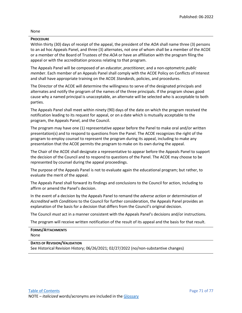## None

## **PROCEDURE**

Within thirty (30) days of receipt of the appeal, the president of the *AOA* shall name three (3) persons to an ad hoc Appeals Panel, and three (3) alternates, not one of whom shall be a member of the ACOE or a member of the Board of Trustees of the *AOA* or have an affiliation with the program filing the appeal or with the accreditation process relating to that program.

The Appeals Panel will be composed of an *educator*, *practitioner*, and a non-optometric *public membe*r. Each member of an Appeals Panel shall comply with the ACOE Policy on Conflicts of Interest and shall have appropriate training on the ACOE *Standards*, policies, and procedures.

The Director of the ACOE will determine the willingness to serve of the designated principals and alternates and notify the program of the names of the three principals. If the program shows good cause why a named principal is unacceptable, an alternate will be selected who is acceptable to both parties.

The Appeals Panel shall meet within ninety (90) days of the date on which the program received the notification leading to its request for appeal, or on a date which is mutually acceptable to the program, the Appeals Panel, and the Council.

The program may have one (1) representative appear before the Panel to make oral and/or written presentation(s) and to respond to questions from the Panel. The ACOE recognizes the right of the program to employ counsel to represent the program during its appeal, including to make any presentation that the ACOE permits the program to make on its own during the appeal.

The Chair of the ACOE shall designate a representative to appear before the Appeals Panel to support the decision of the Council and to respond to questions of the Panel. The ACOE may choose to be represented by counsel during the appeal proceedings.

The purpose of the Appeals Panel is not to evaluate again the educational program; but rather, to evaluate the merit of the appeal.

The Appeals Panel shall forward its findings and conclusions to the Council for action, including to affirm or amend the Panel's decision.

In the event of a decision by the Appeals Panel to remand the *adverse action* or determination of *Accredited with Conditions* to the Council for further consideration, the Appeals Panel provides an explanation of the basis for a decision that differs from the Council's original decision.

The Council *must* act in a manner consistent with the Appeals Panel's decisions and/or instructions.

The program will receive written notification of the result of its appeal and the basis for that result.

### **FORMS/ATTACHMENTS** None

## **DATES OF REVISION/VALIDATION**

See Historical Revision History; 06/26/2021; 02/27/2022 (no/non-substantive changes)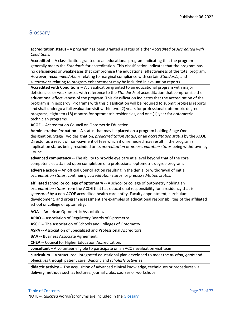## <span id="page-72-0"></span>Glossary

**accreditation status -** A program has been granted a status of either *Accredited* or *Accredited with Condition*s.

**Accredited** -- A classification granted to an educational program indicating that the program generally meets the *Standards* for accreditation. This classification indicates that the program has no deficiencies or weaknesses that compromise the educational effectiveness of the total program. However, *recommendations* relating to marginal compliance with certain *Standards*, and *suggestions* relating to program enhancement may be included in evaluation reports.

**Accredited with Conditions** -- A classification granted to an educational program with major deficiencies or weaknesses with reference to the *Standards* of accreditation that compromise the educational effectiveness of the program. This classification indicates that the accreditation of the program is in jeopardy. Programs with this classification will be required to submit progress reports and shall undergo a full evaluation visit within two (2) years for professional optometric degree programs, eighteen (18) months for optometric residencies, and one (1) year for optometric technician programs.

**ACOE** -- Accreditation Council on Optometric Education**.**

**Administrative Probation** – A status that may be placed on a program holding Stage One designation, Stage Two designation, *preaccreditation status*, or an *accreditation status* by the ACOE Director as a result of non-payment of fees which if unremedied may result in the program's application status being rescinded or its *accreditation* or *preaccreditation status* being withdrawn by Council.

**advanced competency** -- The ability to provide eye care at a level beyond that of the core competencies attained upon completion of a professional optometric degree program.

**adverse action** -- An official Council action resulting in the denial or withdrawal of initial *accreditation status*, continuing *accreditation status*, or *preaccreditation status*.

**affiliated school or college of optometry** -- A school or college of optometry holding an *accreditation status* from the ACOE that has educational responsibility for a residency that is *sponsored* by a non-ACOE accredited health care entity. Faculty appointment, curriculum development, and program assessment are examples of educational responsibilities of the affiliated school or college of optometry.

**AOA --** American Optometric Association**.**

**ARBO** -- Association of Regulatory Boards of Optometry.

**ASCO -**- The Association of Schools and Colleges of Optometry.

**ASPA** -- Association of Specialized and Professional Accreditors.

**BAA** -- Business Associate Agreement.

**CHEA** -- Council for Higher Education Accreditation**.**

**consultant** – A volunteer eligible to participate on an ACOE evaluation visit team.

**curriculum** -- A structured, integrated educational plan developed to meet the *mission*, *goals* and *objectives* through patient care, *didactic* and *scholarly activities*.

**didactic activity** -- The acquisition of advanced clinical knowledge, techniques or procedures via delivery methods such as lectures, journal clubs, courses or workshops.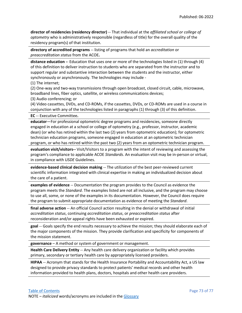**director of residencies (residency director)** -- That individual at the *affiliated school or college of optometry* who is administratively responsible (regardless of title) for the overall quality of the residency program(s) of that institution.

**directory of accredited programs** -- listing of programs that hold an *accreditation* or *preaccreditation status* from the ACOE**.**

**distance education -**- Education that uses one or more of the technologies listed in (1) through (4) of this definition to deliver instruction to students who are separated from the instructor and to support regular and substantive interaction between the students and the instructor, either synchronously or asynchronously. The technologies may include -

(1) The internet;

(2) One-way and two-way transmissions through open broadcast, closed circuit, cable, microwave, broadband lines, fiber optics, satellite, or wireless communications devices;

(3) Audio conferencing; or

(4) Video cassettes, DVDs, and CD-ROMs, if the cassettes, DVDs, or CD-ROMs are used in a course in conjunction with any of the technologies listed in paragraphs (1) through (3) of this definition.

**EC** -- Executive Committee**.**

**educator**—For professional optometric degree programs and residencies, someone directly engaged in education at a school or college of optometry (e.g., professor, instructor, academic dean) (or who has retired within the last two (2) years from optometric education); for optometric technician education programs, someone engaged in education at an optometric technician program, or who has retired within the past two (2) years from an optometric technician program.

**evaluation visit/visitors--** Visit/Visitors to a program with the intent of reviewing and assessing the program's compliance to applicable ACOE *Standards*. An evaluation visit may be in-person or virtual, in compliance with *USDE* Guidelines.

**evidence-based clinical decision making** -- The utilization of the best peer-reviewed current scientific information integrated with clinical expertise in making an individualized decision about the care of a patient.

**examples of evidence** -- Documentation the program provides to the Council as evidence the program meets the *Standard*. The examples listed are not all inclusive, and the program may choose to use all, some, or none of the examples in its documentation. However, the Council does require the program to submit appropriate documentation as evidence of meeting the *Standard*.

**final adverse action** -- An official Council action resulting in the denial or withdrawal of initial *accreditation status*, continuing *accreditation status*, or *preaccreditation status* after reconsideration and/or appeal rights have been exhausted or expired.

**goal** -- Goals specify the end results necessary to achieve the mission; they should elaborate each of the major components of the mission. They provide clarification and specificity for components of the mission statement.

**governance** – A method or system of government or management.

**Health Care Delivery Entity** -- Any health care delivery organization or facility which provides primary, secondary or tertiary health care by appropriately licensed providers.

**HIPAA** -- Acronym that stands for the Health Insurance Portability and Accountability Act, a US law designed to provide privacy standards to protect patients' medical records and other health information provided to health plans, doctors, hospitals and other health care providers.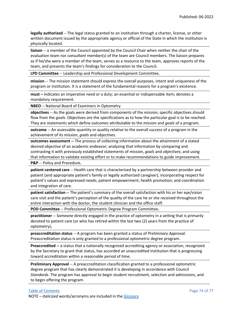**legally authorized** -- The legal status granted to an institution through a charter, license, or other written document issued by the appropriate agency or official of the State in which the institution is physically located.

**liaison** -- a member of the Council appointed by the Council Chair when neither the chair of the evaluation team nor *consultant* member(s) of the team are Council members. The liaison prepares as if he/she were a member of the team, serves as a resource to the team, approves reports of the team, and presents the team's findings for consideration to the Council**.**

**LPD Committee** -- Leadership and Professional Development Committee**.**

**mission** -- The mission statement should express the overall purposes, intent and uniqueness of the program or institution. It is a statement of the fundamental reasons for a program's existence.

**must –** Indicates an imperative need or a duty; an essential or indispensable item; denotes a mandatory requirement.

**NBEO** -- National Board of Examiners in Optometry

**objectives** -- As the goals were derived from components of the *mission*, specific objectives should flow from the *goals*. Objectives are the specifications as to how the particular goal is to be reached. They are statements which define *outcomes* attributable to the *mission* and *goals* of a program.

**outcome** -- An assessable quantity or quality relative to the overall success of a program in the achievement of its *mission*, *goals* and *objectives*.

**outcomes assessment --** The process of collecting information about the attainment of a stated desired objective of an academic endeavor; analyzing that information by comparing and contrasting it with previously established statements of *mission*, *goals* and *objectives*; and using that information to validate existing effort or to make recommendations to guide improvement. **P&P** -- Policy and Procedure**.**

**patient centered care** -- Health care that is characterized by a partnership between provider and patient (and appropriate patient's family or legally authorized caregiver), incorporating respect for patient's values and expressed needs; patient empowerment; health promotion; and coordination and integration of care.

**patient satisfaction --** The patient's summary of the overall satisfaction with his or her eye/vision care visit and the patient's perception of the quality of the care he or she received throughout the entire interaction with the doctor, the student clinician and the office staff.

**POD Committee** -- Professional Optometric Degree Program Committee**.**

**practitioner** -- Someone directly engaged in the practice of optometry in a setting that is primarily devoted to patient care (or who has retired within the last two (2) years from the practice of optometry)**.**

**preaccreditation status** -- A program has been granted a status of *Preliminary Approval*. Preaccreditation status is only granted to a professional optometric degree program.

**Preaccredited --** a status that a nationally recognized accrediting agency or association, recognized by the Secretary to grant that status, has accorded an unaccredited institution that is progressing toward accreditation within a reasonable period of time.

**Preliminary Approval** -- A preaccreditation classification granted to a professional optometric degree program that has clearly demonstrated it is developing in accordance with Council *Standards*. The program has approval to begin student recruitment, selection and admissions, and to begin offering the program.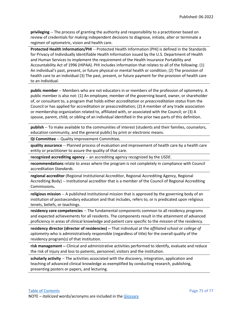**privileging** -- The process of granting the authority and responsibility to a practitioner based on review of credentials for making independent decisions to diagnose, initiate, alter or terminate a regimen of optometric, vision and health care.

**Protected Health Information/PHI** -- Protected Health Information (PHI) is defined in the Standards for Privacy of Individually Identifiable Health Information issued by the U.S. Department of Health and Human Services to implement the requirement of the Health Insurance Portability and Accountability Act of 1996 (HIPAA). PHI includes information that relates to all of the following: (1) An individual's past, present, or future physical or mental health or condition; (2) The provision of health care to an individual (3) The past, present, or future payment for the provision of health care to an individual.

**public member** -- Members who are not educators in or members of the profession of optometry. A public member is also not: (1) An employee, member of the governing board, owner, or shareholder of, or consultant to, a program that holds either *accreditation* or *preaccreditation status* from the Council or has applied for accreditation or preaccreditation; (2) A member of any trade association or membership organization related to, affiliated with, or associated with the Council; or (3) A spouse, parent, child, or sibling of an individual identified in the prior two parts of this definition.

**publish** -- To make available to the communities of interest (students and their families, counselors, education community, and the general public) by print or electronic means.

**QI Committee** -- Quality Improvement Committee**.**

**quality assurance** -- Planned process of evaluation and improvement of health care by a health care entity or practitioner to assure the quality of that care.

**recognized accrediting agency** -- an accrediting agency recognized by the *USDE*.

**recommendations** relate to areas where the program is not completely in compliance with Council accreditation *Standards*.

**regional accreditor** (Regional Institutional Accreditor, Regional Accrediting Agency, Regional Accrediting Body) -- Institutional accreditor that is a member of the Council of Regional Accrediting Commissions**.**

**religious mission** -- A published institutional mission that is approved by the governing body of an institution of postsecondary education and that includes, refers to, or is predicated upon religious tenets, beliefs, or teachings.

**residency core competencies** -- The fundamental components common to all residency programs and expected achievements for all residents. The components result in the attainment of advanced proficiency in areas of clinical knowledge and patient care specific to the *mission* of the residency.

**residency director (director of residencies) --** That individual at the *affiliated school or college of optometry* who is administratively responsible (regardless of title) for the overall quality of the residency program(s) of that institution.

**risk management --** Clinical and administrative activities performed to identify, evaluate and reduce the risk of injury and loss to patients, personnel, visitors and the institution.

**scholarly activity** -- The activities associated with the discovery, integration, application and teaching of advanced clinical knowledge as exemplified by conducting research, publishing, presenting posters or papers, and lecturing.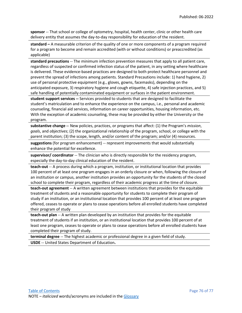**sponsor** -- That school or college of optometry, hospital, health center, clinic or other health care delivery entity that assumes the day-to-day responsibility for education of the resident.

**standard –** A measurable criterion of the quality of one or more components of a program required for a program to become and remain accredited (with or without conditions) or preaccredited (as applicable)

**standard precautions** -- The minimum infection prevention measures that apply to all patient care, regardless of suspected or confirmed infection status of the patient, in any setting where healthcare is delivered. These evidence-based practices are designed to both protect healthcare personnel and prevent the spread of infections among patients. Standard Precautions include: 1) hand hygiene, 2) use of personal protective equipment (e.g., gloves, gowns, facemasks), depending on the anticipated exposure, 3) respiratory hygiene and cough etiquette, 4) safe injection practices, and 5) safe handling of potentially contaminated equipment or surfaces in the patient environment.

**student support services --** Services provided to students that are designed to facilitate the student's matriculation and to enhance the experience on the campus, i.e., personal and academic counseling, financial aid services, information on career opportunities, housing information, etc. With the exception of academic counseling, these may be provided by either the University or the program.

**substantive change -**- New policies, practices, or programs that affect: (1) the Program's *mission*, *goals*, and *objectives*; (2) the organizational relationship of the program, school, or college with the parent institution; (3) the scope, length, and/or content of the program; and/or (4) resources.

**suggestions** (for program enhancement) -- represent improvements that would substantially enhance the potential for excellence.

**supervisor/ coordinator** -- The clinician who is directly responsible for the residency program, especially the day-to-day clinical education of the resident.

**teach-out** -- A process during which a program, institution, or institutional location that provides 100 percent of at least one program engages in an orderly closure or when, following the closure of an institution or campus, another institution provides an opportunity for the students of the closed school to complete their program, regardless of their academic progress at the time of closure.

**teach-out agreement** -- A written agreement between institutions that provides for the equitable treatment of students and a reasonable opportunity for students to complete their program of study if an institution, or an institutional location that provides 100 percent of at least one program offered, ceases to operate or plans to cease operations before all enrolled students have completed their program of study

**teach-out plan** -- A written plan developed by an institution that provides for the equitable treatment of students if an institution, or an institutional location that provides 100 percent of at least one program, ceases to operate or plans to cease operations before all enrolled students have completed their program of study.

**terminal degree** -- The highest academic or professional degree in a given field of study.

**USDE** -- United States Department of Education**.**